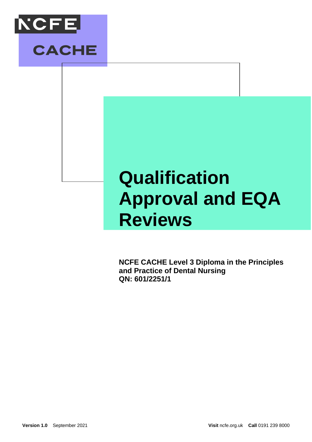

## **Qualification Approval and EQA Reviews**

**NCFE CACHE Level 3 Diploma in the Principles and Practice of Dental Nursing QN: 601/2251/1**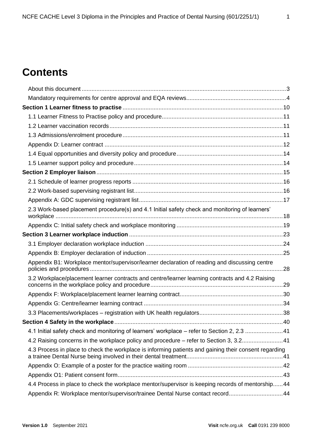### **Contents**

| 2.3 Work-based placement procedure(s) and 4.1 Initial safety check and monitoring of learners'        |  |
|-------------------------------------------------------------------------------------------------------|--|
|                                                                                                       |  |
|                                                                                                       |  |
|                                                                                                       |  |
|                                                                                                       |  |
| Appendix B1: Workplace mentor/supervisor/learner declaration of reading and discussing centre         |  |
| 3.2 Workplace/placement learner contracts and centre/learner learning contracts and 4.2 Raising       |  |
|                                                                                                       |  |
|                                                                                                       |  |
|                                                                                                       |  |
|                                                                                                       |  |
| 4.1 Initial safety check and monitoring of learners' workplace - refer to Section 2, 2.3 41           |  |
| 4.2 Raising concerns in the workplace policy and procedure - refer to Section 3, 3.241                |  |
| 4.3 Process in place to check the workplace is informing patients and gaining their consent regarding |  |
|                                                                                                       |  |
|                                                                                                       |  |
| 4.4 Process in place to check the workplace mentor/supervisor is keeping records of mentorship 44     |  |
| Appendix R: Workplace mentor/supervisor/trainee Dental Nurse contact record44                         |  |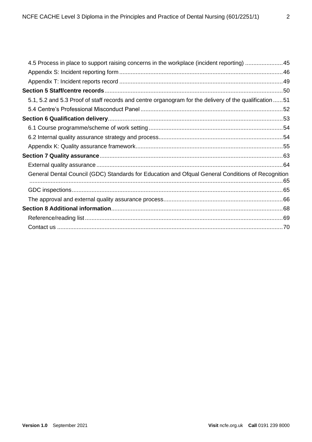| 4.5 Process in place to support raising concerns in the workplace (incident reporting) 45               |  |
|---------------------------------------------------------------------------------------------------------|--|
|                                                                                                         |  |
|                                                                                                         |  |
|                                                                                                         |  |
| 5.1, 5.2 and 5.3 Proof of staff records and centre organogram for the delivery of the qualification  51 |  |
|                                                                                                         |  |
|                                                                                                         |  |
|                                                                                                         |  |
|                                                                                                         |  |
|                                                                                                         |  |
|                                                                                                         |  |
|                                                                                                         |  |
| General Dental Council (GDC) Standards for Education and Ofqual General Conditions of Recognition       |  |
|                                                                                                         |  |
|                                                                                                         |  |
|                                                                                                         |  |
|                                                                                                         |  |
|                                                                                                         |  |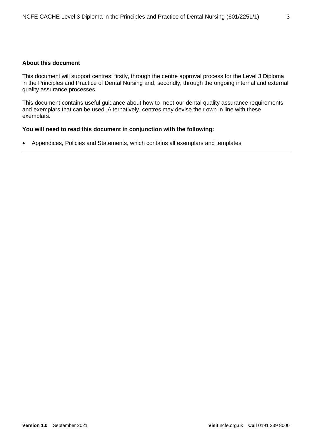#### **About this document**

This document will support centres; firstly, through the centre approval process for the Level 3 Diploma in the Principles and Practice of Dental Nursing and, secondly, through the ongoing internal and external quality assurance processes.

This document contains useful guidance about how to meet our dental quality assurance requirements, and exemplars that can be used. Alternatively, centres may devise their own in line with these exemplars.

#### **You will need to read this document in conjunction with the following:**

• Appendices, Policies and Statements, which contains all exemplars and templates.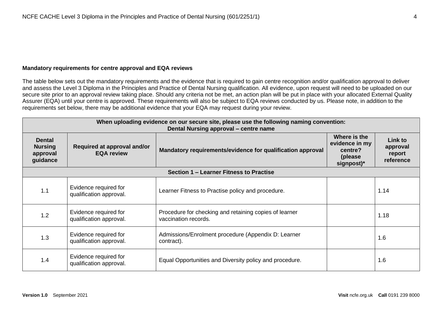#### **Mandatory requirements for centre approval and EQA reviews**

The table below sets out the mandatory requirements and the evidence that is required to gain centre recognition and/or qualification approval to deliver and assess the Level 3 Diploma in the Principles and Practice of Dental Nursing qualification. All evidence, upon request will need to be uploaded on our secure site prior to an approval review taking place. Should any criteria not be met, an action plan will be put in place with your allocated External Quality Assurer (EQA) until your centre is approved. These requirements will also be subject to EQA reviews conducted by us. Please note, in addition to the requirements set below, there may be additional evidence that your EQA may request during your review.

| When uploading evidence on our secure site, please use the following naming convention:<br>Dental Nursing approval – centre name                                          |                                                  |                                                                                |  |                                            |  |
|---------------------------------------------------------------------------------------------------------------------------------------------------------------------------|--------------------------------------------------|--------------------------------------------------------------------------------|--|--------------------------------------------|--|
| <b>Dental</b><br><b>Nursing</b><br>Required at approval and/or<br>Mandatory requirements/evidence for qualification approval<br><b>EQA review</b><br>approval<br>guidance |                                                  |                                                                                |  | Link to<br>approval<br>report<br>reference |  |
|                                                                                                                                                                           |                                                  | Section 1 – Learner Fitness to Practise                                        |  |                                            |  |
| 1.1                                                                                                                                                                       | Evidence required for<br>qualification approval. | Learner Fitness to Practise policy and procedure.                              |  | 1.14                                       |  |
| 1.2                                                                                                                                                                       | Evidence required for<br>qualification approval. | Procedure for checking and retaining copies of learner<br>vaccination records. |  | 1.18                                       |  |
| 1.3                                                                                                                                                                       | Evidence required for<br>qualification approval. | Admissions/Enrolment procedure (Appendix D: Learner<br>contract).              |  | 1.6                                        |  |
| 1.4                                                                                                                                                                       | Evidence required for<br>qualification approval. | Equal Opportunities and Diversity policy and procedure.                        |  | 1.6                                        |  |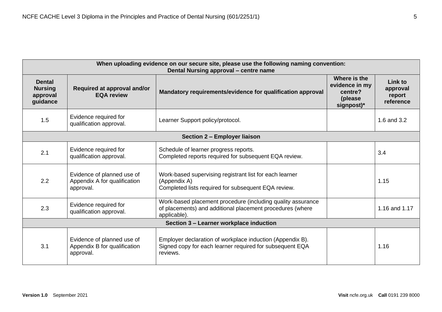| When uploading evidence on our secure site, please use the following naming convention:<br>Dental Nursing approval – centre name                                                                                 |                                                                         |                                                                                                                                          |                                                                    |                                            |  |
|------------------------------------------------------------------------------------------------------------------------------------------------------------------------------------------------------------------|-------------------------------------------------------------------------|------------------------------------------------------------------------------------------------------------------------------------------|--------------------------------------------------------------------|--------------------------------------------|--|
| <b>Dental</b><br><b>Nursing</b><br>approval<br>guidance                                                                                                                                                          | Required at approval and/or<br><b>EQA review</b>                        | Mandatory requirements/evidence for qualification approval                                                                               | Where is the<br>evidence in my<br>centre?<br>(please<br>signpost)* | Link to<br>approval<br>report<br>reference |  |
| 1.5                                                                                                                                                                                                              | Evidence required for<br>qualification approval.                        | Learner Support policy/protocol.                                                                                                         |                                                                    | 1.6 and 3.2                                |  |
|                                                                                                                                                                                                                  |                                                                         | Section 2 - Employer liaison                                                                                                             |                                                                    |                                            |  |
| 2.1                                                                                                                                                                                                              | Evidence required for<br>qualification approval.                        | Schedule of learner progress reports.<br>Completed reports required for subsequent EQA review.                                           |                                                                    | 3.4                                        |  |
| Evidence of planned use of<br>Work-based supervising registrant list for each learner<br>2.2<br>Appendix A for qualification<br>(Appendix A)<br>Completed lists required for subsequent EQA review.<br>approval. |                                                                         |                                                                                                                                          | 1.15                                                               |                                            |  |
| 2.3                                                                                                                                                                                                              | Evidence required for<br>qualification approval.                        | Work-based placement procedure (including quality assurance<br>of placements) and additional placement procedures (where<br>applicable). |                                                                    | 1.16 and 1.17                              |  |
| Section 3 - Learner workplace induction                                                                                                                                                                          |                                                                         |                                                                                                                                          |                                                                    |                                            |  |
| 3.1                                                                                                                                                                                                              | Evidence of planned use of<br>Appendix B for qualification<br>approval. | Employer declaration of workplace induction (Appendix B).<br>Signed copy for each learner required for subsequent EQA<br>reviews.        |                                                                    | 1.16                                       |  |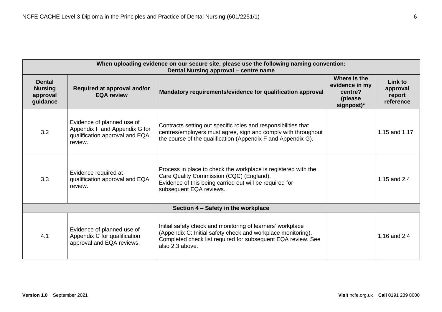| When uploading evidence on our secure site, please use the following naming convention:<br>Dental Nursing approval - centre name |                                                                                                                |                                                                                                                                                                                                               |                                                                     |                                                   |  |
|----------------------------------------------------------------------------------------------------------------------------------|----------------------------------------------------------------------------------------------------------------|---------------------------------------------------------------------------------------------------------------------------------------------------------------------------------------------------------------|---------------------------------------------------------------------|---------------------------------------------------|--|
| <b>Dental</b><br><b>Nursing</b><br>approval<br>guidance                                                                          | Required at approval and/or<br>Mandatory requirements/evidence for qualification approval<br><b>EQA review</b> |                                                                                                                                                                                                               | Where is the<br>evidence in my<br>centre?<br>(please)<br>signpost)* | <b>Link to</b><br>approval<br>report<br>reference |  |
| 3.2                                                                                                                              | Evidence of planned use of<br>Appendix F and Appendix G for<br>qualification approval and EQA<br>review.       | Contracts setting out specific roles and responsibilities that<br>centres/employers must agree, sign and comply with throughout<br>the course of the qualification (Appendix F and Appendix G).               |                                                                     | 1.15 and 1.17                                     |  |
| 3.3                                                                                                                              | Evidence required at<br>qualification approval and EQA<br>review.                                              | Process in place to check the workplace is registered with the<br>Care Quality Commission (CQC) (England).<br>Evidence of this being carried out will be required for<br>subsequent EQA reviews.              |                                                                     | 1.15 and 2.4                                      |  |
|                                                                                                                                  |                                                                                                                | Section 4 - Safety in the workplace                                                                                                                                                                           |                                                                     |                                                   |  |
| 4.1                                                                                                                              | Evidence of planned use of<br>Appendix C for qualification<br>approval and EQA reviews.                        | Initial safety check and monitoring of learners' workplace<br>(Appendix C: Initial safety check and workplace monitoring).<br>Completed check list required for subsequent EQA review. See<br>also 2.3 above. |                                                                     | 1.16 and 2.4                                      |  |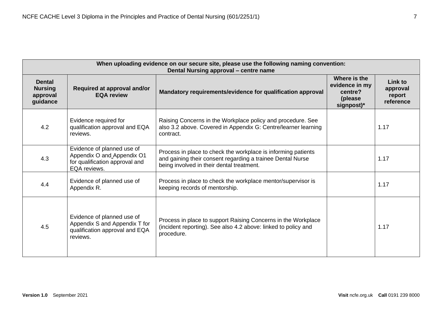| When uploading evidence on our secure site, please use the following naming convention:<br>Dental Nursing approval - centre name |                                                                                                            |                                                                                                                                                                          |                                            |      |  |
|----------------------------------------------------------------------------------------------------------------------------------|------------------------------------------------------------------------------------------------------------|--------------------------------------------------------------------------------------------------------------------------------------------------------------------------|--------------------------------------------|------|--|
| <b>Dental</b><br><b>Nursing</b><br>approval<br>guidance                                                                          | Required at approval and/or<br><b>EQA review</b>                                                           | Where is the<br>evidence in my<br>centre?<br>(please)<br>$signpost)*$                                                                                                    | Link to<br>approval<br>report<br>reference |      |  |
| 4.2                                                                                                                              | Evidence required for<br>qualification approval and EQA<br>reviews.                                        | Raising Concerns in the Workplace policy and procedure. See<br>also 3.2 above. Covered in Appendix G: Centre/learner learning<br>contract.                               |                                            | 1.17 |  |
| 4.3                                                                                                                              | Evidence of planned use of<br>Appendix O and Appendix O1<br>for qualification approval and<br>EQA reviews. | Process in place to check the workplace is informing patients<br>and gaining their consent regarding a trainee Dental Nurse<br>being involved in their dental treatment. |                                            | 1.17 |  |
| 4.4                                                                                                                              | Evidence of planned use of<br>Appendix R.                                                                  | Process in place to check the workplace mentor/supervisor is<br>keeping records of mentorship.                                                                           |                                            | 1.17 |  |
| 4.5                                                                                                                              | Evidence of planned use of<br>Appendix S and Appendix T for<br>qualification approval and EQA<br>reviews.  | Process in place to support Raising Concerns in the Workplace<br>(incident reporting). See also 4.2 above: linked to policy and<br>procedure.                            |                                            | 1.17 |  |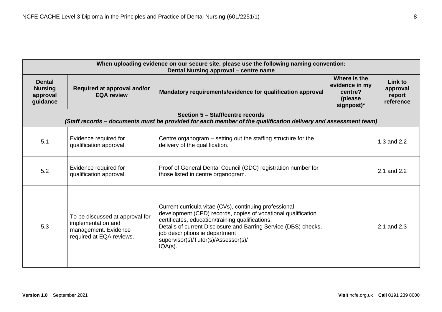| When uploading evidence on our secure site, please use the following naming convention:<br>Dental Nursing approval – centre name |                                                                                                           |                                                                                                                                                                                                                                                                                                                                       |                                                                    |                                            |  |
|----------------------------------------------------------------------------------------------------------------------------------|-----------------------------------------------------------------------------------------------------------|---------------------------------------------------------------------------------------------------------------------------------------------------------------------------------------------------------------------------------------------------------------------------------------------------------------------------------------|--------------------------------------------------------------------|--------------------------------------------|--|
| <b>Dental</b><br><b>Nursing</b><br>approval<br>guidance                                                                          | Required at approval and/or<br><b>EQA review</b>                                                          | Mandatory requirements/evidence for qualification approval                                                                                                                                                                                                                                                                            | Where is the<br>evidence in my<br>centre?<br>(please<br>signpost)* | Link to<br>approval<br>report<br>reference |  |
|                                                                                                                                  |                                                                                                           | Section 5 - Staff/centre records<br>(Staff records – documents must be provided for each member of the qualification delivery and assessment team)                                                                                                                                                                                    |                                                                    |                                            |  |
| 5.1                                                                                                                              | Evidence required for<br>qualification approval.                                                          | Centre organogram – setting out the staffing structure for the<br>delivery of the qualification.                                                                                                                                                                                                                                      |                                                                    | 1.3 and 2.2                                |  |
| 5.2                                                                                                                              | Evidence required for<br>qualification approval.                                                          | Proof of General Dental Council (GDC) registration number for<br>those listed in centre organogram.                                                                                                                                                                                                                                   |                                                                    | 2.1 and 2.2                                |  |
| 5.3                                                                                                                              | To be discussed at approval for<br>implementation and<br>management. Evidence<br>required at EQA reviews. | Current curricula vitae (CVs), continuing professional<br>development (CPD) records, copies of vocational qualification<br>certificates, education/training qualifications.<br>Details of current Disclosure and Barring Service (DBS) checks,<br>job descriptions ie department<br>supervisor(s)/Tutor(s)/Assessor(s)/<br>$IQA(s)$ . |                                                                    | 2.1 and 2.3                                |  |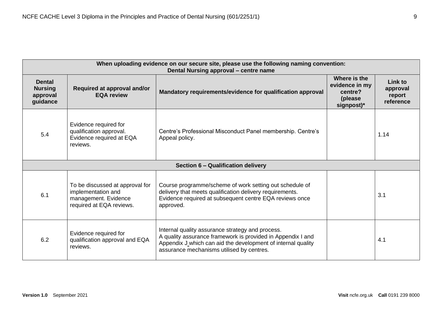| When uploading evidence on our secure site, please use the following naming convention:<br>Dental Nursing approval - centre name |                                                                                                           |                                                                                                                                                                                                                              |                                                                    |                                            |  |
|----------------------------------------------------------------------------------------------------------------------------------|-----------------------------------------------------------------------------------------------------------|------------------------------------------------------------------------------------------------------------------------------------------------------------------------------------------------------------------------------|--------------------------------------------------------------------|--------------------------------------------|--|
| <b>Dental</b><br>Required at approval and/or<br><b>Nursing</b><br><b>EQA review</b><br>approval<br>guidance                      |                                                                                                           | Mandatory requirements/evidence for qualification approval                                                                                                                                                                   | Where is the<br>evidence in my<br>centre?<br>(please<br>signpost)* | Link to<br>approval<br>report<br>reference |  |
| 5.4                                                                                                                              | Evidence required for<br>qualification approval.<br>Evidence required at EQA<br>reviews.                  | Centre's Professional Misconduct Panel membership. Centre's<br>Appeal policy.                                                                                                                                                |                                                                    | 1.14                                       |  |
|                                                                                                                                  |                                                                                                           | Section 6 - Qualification delivery                                                                                                                                                                                           |                                                                    |                                            |  |
| 6.1                                                                                                                              | To be discussed at approval for<br>implementation and<br>management. Evidence<br>required at EQA reviews. | Course programme/scheme of work setting out schedule of<br>delivery that meets qualification delivery requirements.<br>Evidence required at subsequent centre EQA reviews once<br>approved.                                  |                                                                    | 3.1                                        |  |
| 6.2                                                                                                                              | Evidence required for<br>qualification approval and EQA<br>reviews.                                       | Internal quality assurance strategy and process.<br>A quality assurance framework is provided in Appendix I and<br>Appendix J which can aid the development of internal quality<br>assurance mechanisms utilised by centres. |                                                                    | 4.1                                        |  |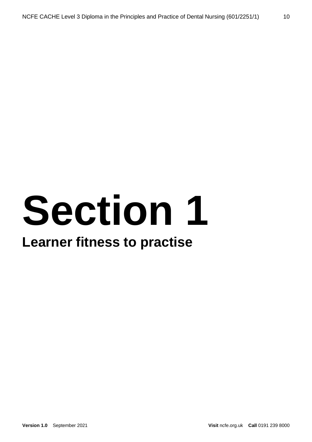## **Section 1**

### **Learner fitness to practise**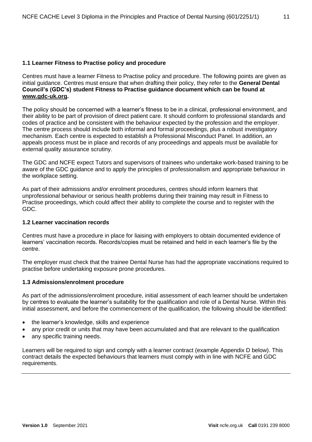#### **1.1 Learner Fitness to Practise policy and procedure**

Centres must have a learner Fitness to Practise policy and procedure. The following points are given as initial guidance. Centres must ensure that when drafting their policy, they refer to the **General Dental Council's (GDC's) student Fitness to Practise guidance document which can be found at [www.gdc-uk.org.](http://www.gdc-uk.org/)**

The policy should be concerned with a learner's fitness to be in a clinical, professional environment, and their ability to be part of provision of direct patient care. It should conform to professional standards and codes of practice and be consistent with the behaviour expected by the profession and the employer. The centre process should include both informal and formal proceedings, plus a robust investigatory mechanism. Each centre is expected to establish a Professional Misconduct Panel. In addition, an appeals process must be in place and records of any proceedings and appeals must be available for external quality assurance scrutiny.

The GDC and NCFE expect Tutors and supervisors of trainees who undertake work-based training to be aware of the GDC guidance and to apply the principles of professionalism and appropriate behaviour in the workplace setting.

As part of their admissions and/or enrolment procedures, centres should inform learners that unprofessional behaviour or serious health problems during their training may result in Fitness to Practise proceedings, which could affect their ability to complete the course and to register with the GDC.

#### **1.2 Learner vaccination records**

Centres must have a procedure in place for liaising with employers to obtain documented evidence of learners' vaccination records. Records/copies must be retained and held in each learner's file by the centre.

The employer must check that the trainee Dental Nurse has had the appropriate vaccinations required to practise before undertaking exposure prone procedures.

#### **1.3 Admissions/enrolment procedure**

As part of the admissions/enrolment procedure, initial assessment of each learner should be undertaken by centres to evaluate the learner's suitability for the qualification and role of a Dental Nurse. Within this initial assessment, and before the commencement of the qualification, the following should be identified:

- the learner's knowledge, skills and experience
- any prior credit or units that may have been accumulated and that are relevant to the qualification
- any specific training needs.

Learners will be required to sign and comply with a learner contract (example Appendix D below). This contract details the expected behaviours that learners must comply with in line with NCFE and GDC requirements.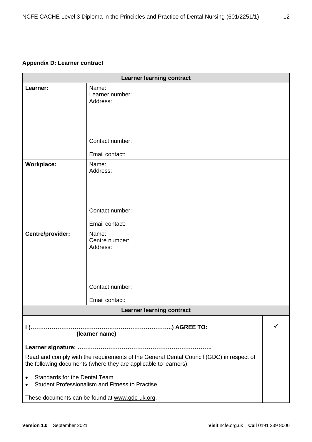#### **Appendix D: Learner contract**

| <b>Learner learning contract</b>                                                                                                                            |                                                    |   |  |  |
|-------------------------------------------------------------------------------------------------------------------------------------------------------------|----------------------------------------------------|---|--|--|
| Learner:                                                                                                                                                    | Name:<br>Learner number:<br>Address:               |   |  |  |
|                                                                                                                                                             |                                                    |   |  |  |
|                                                                                                                                                             | Contact number:                                    |   |  |  |
|                                                                                                                                                             | Email contact:                                     |   |  |  |
| <b>Workplace:</b>                                                                                                                                           | Name:<br>Address:                                  |   |  |  |
|                                                                                                                                                             | Contact number:                                    |   |  |  |
|                                                                                                                                                             |                                                    |   |  |  |
|                                                                                                                                                             | Email contact:                                     |   |  |  |
| Centre/provider:                                                                                                                                            | Name:<br>Centre number:<br>Address:                |   |  |  |
|                                                                                                                                                             | Contact number:                                    |   |  |  |
|                                                                                                                                                             |                                                    |   |  |  |
|                                                                                                                                                             | Email contact:<br><b>Learner learning contract</b> |   |  |  |
|                                                                                                                                                             |                                                    |   |  |  |
|                                                                                                                                                             | (learner name)                                     | ✓ |  |  |
|                                                                                                                                                             |                                                    |   |  |  |
| Read and comply with the requirements of the General Dental Council (GDC) in respect of<br>the following documents (where they are applicable to learners): |                                                    |   |  |  |
| <b>Standards for the Dental Team</b><br>٠                                                                                                                   | Student Professionalism and Fitness to Practise.   |   |  |  |
| These documents can be found at www.gdc-uk.org.                                                                                                             |                                                    |   |  |  |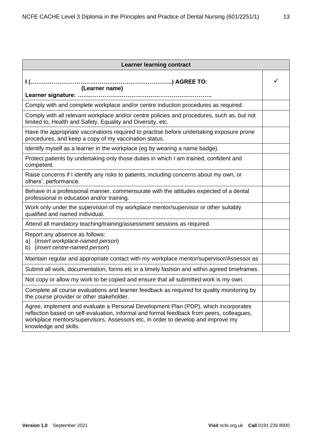| <b>Learner learning contract</b>                                                                                                                                                                                                                                                              |   |
|-----------------------------------------------------------------------------------------------------------------------------------------------------------------------------------------------------------------------------------------------------------------------------------------------|---|
| (Learner name)                                                                                                                                                                                                                                                                                | ✓ |
|                                                                                                                                                                                                                                                                                               |   |
| Comply with and complete workplace and/or centre induction procedures as required.                                                                                                                                                                                                            |   |
| Comply with all relevant workplace and/or centre policies and procedures, such as, but not<br>limited to, Health and Safety, Equality and Diversity, etc.                                                                                                                                     |   |
| Have the appropriate vaccinations required to practise before undertaking exposure prone<br>procedures, and keep a copy of my vaccination status.                                                                                                                                             |   |
| Identify myself as a learner in the workplace (eg by wearing a name badge).                                                                                                                                                                                                                   |   |
| Protect patients by undertaking only those duties in which I am trained, confident and<br>competent.                                                                                                                                                                                          |   |
| Raise concerns if I identify any risks to patients, including concerns about my own, or<br>others', performance.                                                                                                                                                                              |   |
| Behave in a professional manner, commensurate with the attitudes expected of a dental<br>professional in education and/or training.                                                                                                                                                           |   |
| Work only under the supervision of my workplace mentor/supervisor or other suitably<br>qualified and named individual.                                                                                                                                                                        |   |
| Attend all mandatory teaching/training/assessment sessions as required.                                                                                                                                                                                                                       |   |
| Report any absence as follows:<br>a) (insert workplace-named person)<br>b) (insert centre-named person)                                                                                                                                                                                       |   |
| Maintain regular and appropriate contact with my workplace mentor/supervisor/Assessor as                                                                                                                                                                                                      |   |
| Submit all work, documentation, forms etc in a timely fashion and within agreed timeframes.                                                                                                                                                                                                   |   |
| Not copy or allow my work to be copied and ensure that all submitted work is my own.                                                                                                                                                                                                          |   |
| Complete all course evaluations and learner feedback as required for quality monitoring by<br>the course provider or other stakeholder.                                                                                                                                                       |   |
| Agree, implement and evaluate a Personal Development Plan (PDP), which incorporates<br>reflection based on self-evaluation, informal and formal feedback from peers, colleagues,<br>workplace mentors/supervisors, Assessors etc, in order to develop and improve my<br>knowledge and skills. |   |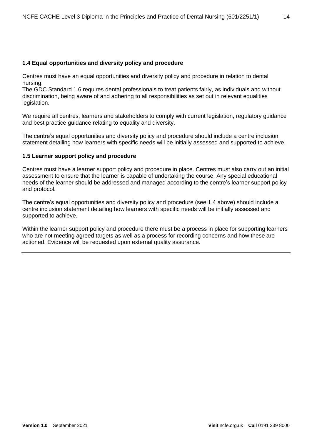#### **1.4 Equal opportunities and diversity policy and procedure**

Centres must have an equal opportunities and diversity policy and procedure in relation to dental nursing.

The GDC Standard 1.6 requires dental professionals to treat patients fairly, as individuals and without discrimination, being aware of and adhering to all responsibilities as set out in relevant equalities legislation.

We require all centres, learners and stakeholders to comply with current legislation, regulatory guidance and best practice guidance relating to equality and diversity.

The centre's equal opportunities and diversity policy and procedure should include a centre inclusion statement detailing how learners with specific needs will be initially assessed and supported to achieve.

#### **1.5 Learner support policy and procedure**

Centres must have a learner support policy and procedure in place. Centres must also carry out an initial assessment to ensure that the learner is capable of undertaking the course. Any special educational needs of the learner should be addressed and managed according to the centre's learner support policy and protocol.

The centre's equal opportunities and diversity policy and procedure (see 1.4 above) should include a centre inclusion statement detailing how learners with specific needs will be initially assessed and supported to achieve.

Within the learner support policy and procedure there must be a process in place for supporting learners who are not meeting agreed targets as well as a process for recording concerns and how these are actioned. Evidence will be requested upon external quality assurance.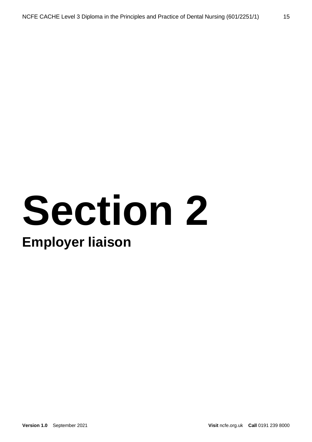## **Section 2 Employer liaison**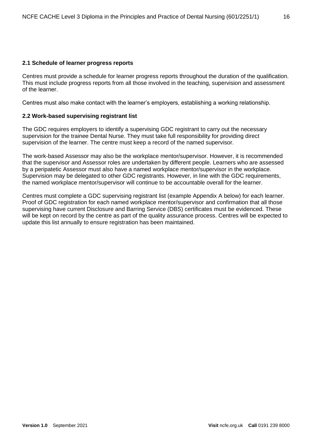#### **2.1 Schedule of learner progress reports**

Centres must provide a schedule for learner progress reports throughout the duration of the qualification. This must include progress reports from all those involved in the teaching, supervision and assessment of the learner.

Centres must also make contact with the learner's employers, establishing a working relationship.

#### **2.2 Work-based supervising registrant list**

The GDC requires employers to identify a supervising GDC registrant to carry out the necessary supervision for the trainee Dental Nurse. They must take full responsibility for providing direct supervision of the learner. The centre must keep a record of the named supervisor.

The work-based Assessor may also be the workplace mentor/supervisor. However, it is recommended that the supervisor and Assessor roles are undertaken by different people. Learners who are assessed by a peripatetic Assessor must also have a named workplace mentor/supervisor in the workplace. Supervision may be delegated to other GDC registrants. However, in line with the GDC requirements, the named workplace mentor/supervisor will continue to be accountable overall for the learner.

Centres must complete a GDC supervising registrant list (example Appendix A below) for each learner. Proof of GDC registration for each named workplace mentor/supervisor and confirmation that all those supervising have current Disclosure and Barring Service (DBS) certificates must be evidenced. These will be kept on record by the centre as part of the quality assurance process. Centres will be expected to update this list annually to ensure registration has been maintained.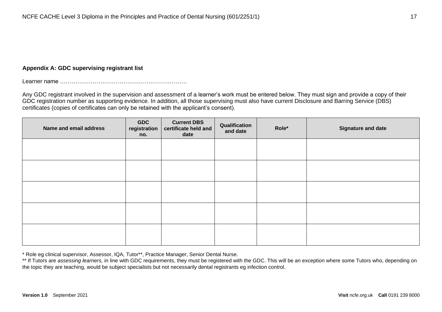#### **Appendix A: GDC supervising registrant list**

Learner name …………………………………………………………

Any GDC registrant involved in the supervision and assessment of a learner's work must be entered below. They must sign and provide a copy of their GDC registration number as supporting evidence. In addition, all those supervising must also have current Disclosure and Barring Service (DBS) certificates (copies of certificates can only be retained with the applicant's consent).

| Name and email address | <b>GDC</b><br>registration<br>no. | <b>Current DBS</b><br>certificate held and<br>date | Qualification<br>and date | Role* | <b>Signature and date</b> |
|------------------------|-----------------------------------|----------------------------------------------------|---------------------------|-------|---------------------------|
|                        |                                   |                                                    |                           |       |                           |
|                        |                                   |                                                    |                           |       |                           |
|                        |                                   |                                                    |                           |       |                           |
|                        |                                   |                                                    |                           |       |                           |
|                        |                                   |                                                    |                           |       |                           |

\* Role eg clinical supervisor, Assessor, IQA, Tutor\*\*, Practice Manager, Senior Dental Nurse.

\*\* If Tutors are *assessing learners*, in line with GDC requirements, they must be registered with the GDC. This will be an exception where some Tutors who, depending on the topic they are teaching, would be subject specialists but not necessarily dental registrants eg infection control.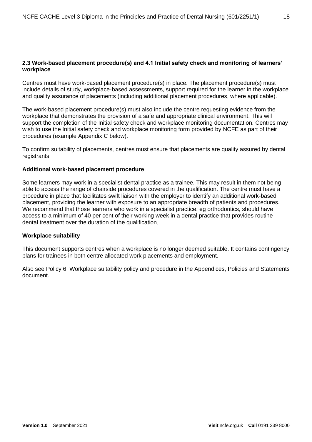#### **2.3 Work-based placement procedure(s) and 4.1 Initial safety check and monitoring of learners' workplace**

Centres must have work-based placement procedure(s) in place. The placement procedure(s) must include details of study, workplace-based assessments, support required for the learner in the workplace and quality assurance of placements (including additional placement procedures, where applicable).

The work-based placement procedure(s) must also include the centre requesting evidence from the workplace that demonstrates the provision of a safe and appropriate clinical environment. This will support the completion of the Initial safety check and workplace monitoring documentation. Centres may wish to use the Initial safety check and workplace monitoring form provided by NCFE as part of their procedures (example Appendix C below).

To confirm suitability of placements, centres must ensure that placements are quality assured by dental registrants.

#### **Additional work-based placement procedure**

Some learners may work in a specialist dental practice as a trainee. This may result in them not being able to access the range of chairside procedures covered in the qualification. The centre must have a procedure in place that facilitates swift liaison with the employer to identify an additional work-based placement, providing the learner with exposure to an appropriate breadth of patients and procedures. We recommend that those learners who work in a specialist practice, eg orthodontics, should have access to a minimum of 40 per cent of their working week in a dental practice that provides routine dental treatment over the duration of the qualification.

#### **Workplace suitability**

This document supports centres when a workplace is no longer deemed suitable. It contains contingency plans for trainees in both centre allocated work placements and employment.

Also see Policy 6: Workplace suitability policy and procedure in the Appendices, Policies and Statements document.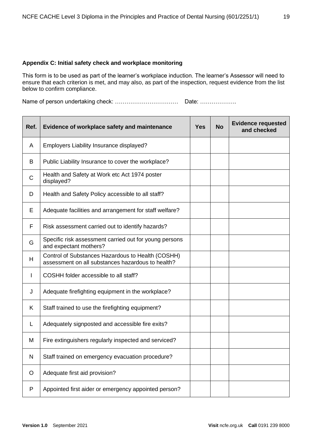#### **Appendix C: Initial safety check and workplace monitoring**

This form is to be used as part of the learner's workplace induction. The learner's Assessor will need to ensure that each criterion is met, and may also, as part of the inspection, request evidence from the list below to confirm compliance.

Name of person undertaking check: …………………………… Date: ……………….

| Ref.         | Evidence of workplace safety and maintenance                                                           | <b>Yes</b> | <b>No</b> | <b>Evidence requested</b><br>and checked |
|--------------|--------------------------------------------------------------------------------------------------------|------------|-----------|------------------------------------------|
| A            | Employers Liability Insurance displayed?                                                               |            |           |                                          |
| B            | Public Liability Insurance to cover the workplace?                                                     |            |           |                                          |
| $\mathsf{C}$ | Health and Safety at Work etc Act 1974 poster<br>displayed?                                            |            |           |                                          |
| D            | Health and Safety Policy accessible to all staff?                                                      |            |           |                                          |
| Е            | Adequate facilities and arrangement for staff welfare?                                                 |            |           |                                          |
| F            | Risk assessment carried out to identify hazards?                                                       |            |           |                                          |
| G            | Specific risk assessment carried out for young persons<br>and expectant mothers?                       |            |           |                                          |
| H            | Control of Substances Hazardous to Health (COSHH)<br>assessment on all substances hazardous to health? |            |           |                                          |
| I            | COSHH folder accessible to all staff?                                                                  |            |           |                                          |
| J            | Adequate firefighting equipment in the workplace?                                                      |            |           |                                          |
| K            | Staff trained to use the firefighting equipment?                                                       |            |           |                                          |
| L            | Adequately signposted and accessible fire exits?                                                       |            |           |                                          |
| M            | Fire extinguishers regularly inspected and serviced?                                                   |            |           |                                          |
| $\mathsf{N}$ | Staff trained on emergency evacuation procedure?                                                       |            |           |                                          |
| O            | Adequate first aid provision?                                                                          |            |           |                                          |
| P            | Appointed first aider or emergency appointed person?                                                   |            |           |                                          |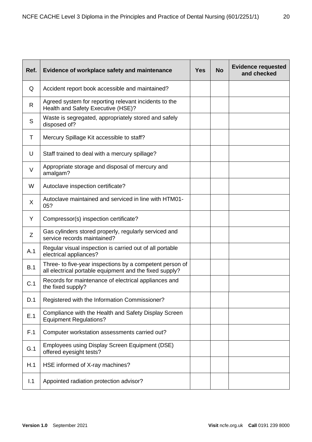| Ref.   | Evidence of workplace safety and maintenance                                                                        | <b>Yes</b> | <b>No</b> | <b>Evidence requested</b><br>and checked |
|--------|---------------------------------------------------------------------------------------------------------------------|------------|-----------|------------------------------------------|
| Q      | Accident report book accessible and maintained?                                                                     |            |           |                                          |
| R      | Agreed system for reporting relevant incidents to the<br>Health and Safety Executive (HSE)?                         |            |           |                                          |
| S      | Waste is segregated, appropriately stored and safely<br>disposed of?                                                |            |           |                                          |
| T      | Mercury Spillage Kit accessible to staff?                                                                           |            |           |                                          |
| U      | Staff trained to deal with a mercury spillage?                                                                      |            |           |                                          |
| $\vee$ | Appropriate storage and disposal of mercury and<br>amalgam?                                                         |            |           |                                          |
| W      | Autoclave inspection certificate?                                                                                   |            |           |                                          |
| X      | Autoclave maintained and serviced in line with HTM01-<br>05?                                                        |            |           |                                          |
| Y      | Compressor(s) inspection certificate?                                                                               |            |           |                                          |
| Ζ      | Gas cylinders stored properly, regularly serviced and<br>service records maintained?                                |            |           |                                          |
| A.1    | Regular visual inspection is carried out of all portable<br>electrical appliances?                                  |            |           |                                          |
| B.1    | Three- to five-year inspections by a competent person of<br>all electrical portable equipment and the fixed supply? |            |           |                                          |
| C.1    | Records for maintenance of electrical appliances and<br>the fixed supply?                                           |            |           |                                          |
| D.1    | Registered with the Information Commissioner?                                                                       |            |           |                                          |
| E.1    | Compliance with the Health and Safety Display Screen<br><b>Equipment Regulations?</b>                               |            |           |                                          |
| F.1    | Computer workstation assessments carried out?                                                                       |            |           |                                          |
| G.1    | Employees using Display Screen Equipment (DSE)<br>offered eyesight tests?                                           |            |           |                                          |
| H.1    | HSE informed of X-ray machines?                                                                                     |            |           |                                          |
| 1.1    | Appointed radiation protection advisor?                                                                             |            |           |                                          |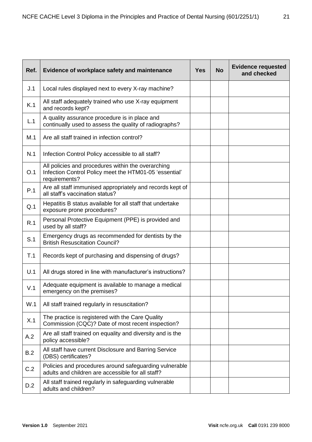| Ref. | Evidence of workplace safety and maintenance                                                                                  |  | <b>No</b> | <b>Evidence requested</b><br>and checked |
|------|-------------------------------------------------------------------------------------------------------------------------------|--|-----------|------------------------------------------|
| J.1  | Local rules displayed next to every X-ray machine?                                                                            |  |           |                                          |
| K.1  | All staff adequately trained who use X-ray equipment<br>and records kept?                                                     |  |           |                                          |
| L.1  | A quality assurance procedure is in place and<br>continually used to assess the quality of radiographs?                       |  |           |                                          |
| M.1  | Are all staff trained in infection control?                                                                                   |  |           |                                          |
| N.1  | Infection Control Policy accessible to all staff?                                                                             |  |           |                                          |
| O.1  | All policies and procedures within the overarching<br>Infection Control Policy meet the HTM01-05 'essential'<br>requirements? |  |           |                                          |
| P.1  | Are all staff immunised appropriately and records kept of<br>all staff's vaccination status?                                  |  |           |                                          |
| Q.1  | Hepatitis B status available for all staff that undertake<br>exposure prone procedures?                                       |  |           |                                          |
| R.1  | Personal Protective Equipment (PPE) is provided and<br>used by all staff?                                                     |  |           |                                          |
| S.1  | Emergency drugs as recommended for dentists by the<br><b>British Resuscitation Council?</b>                                   |  |           |                                          |
| T.1  | Records kept of purchasing and dispensing of drugs?                                                                           |  |           |                                          |
| U.1  | All drugs stored in line with manufacturer's instructions?                                                                    |  |           |                                          |
| V.1  | Adequate equipment is available to manage a medical<br>emergency on the premises?                                             |  |           |                                          |
| W.1  | All staff trained regularly in resuscitation?                                                                                 |  |           |                                          |
| X.1  | The practice is registered with the Care Quality<br>Commission (CQC)? Date of most recent inspection?                         |  |           |                                          |
| A.2  | Are all staff trained on equality and diversity and is the<br>policy accessible?                                              |  |           |                                          |
| B.2  | All staff have current Disclosure and Barring Service<br>(DBS) certificates?                                                  |  |           |                                          |
| C.2  | Policies and procedures around safeguarding vulnerable<br>adults and children are accessible for all staff?                   |  |           |                                          |
| D.2  | All staff trained regularly in safeguarding vulnerable<br>adults and children?                                                |  |           |                                          |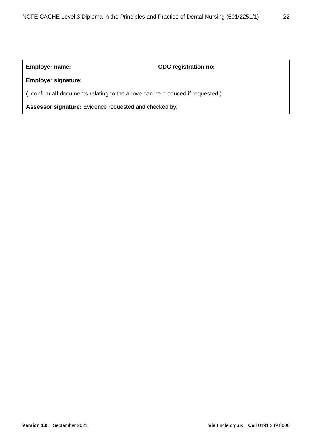#### **Employer name: GDC registration no:**

#### **Employer signature:**

(I confirm **all** documents relating to the above can be produced if requested.)

**Assessor signature:** Evidence requested and checked by: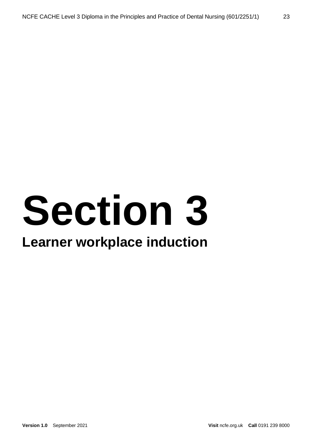# **Section 3**

### **Learner workplace induction**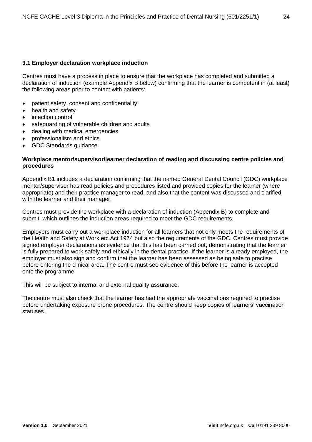#### **3.1 Employer declaration workplace induction**

Centres must have a process in place to ensure that the workplace has completed and submitted a declaration of induction (example Appendix B below) confirming that the learner is competent in (at least) the following areas prior to contact with patients:

- patient safety, consent and confidentiality
- health and safety
- infection control
- safeguarding of vulnerable children and adults
- dealing with medical emergencies
- professionalism and ethics
- GDC Standards guidance.

#### **Workplace mentor/supervisor/learner declaration of reading and discussing centre policies and procedures**

Appendix B1 includes a declaration confirming that the named General Dental Council (GDC) workplace mentor/supervisor has read policies and procedures listed and provided copies for the learner (where appropriate) and their practice manager to read, and also that the content was discussed and clarified with the learner and their manager.

Centres must provide the workplace with a declaration of induction (Appendix B) to complete and submit, which outlines the induction areas required to meet the GDC requirements.

Employers must carry out a workplace induction for all learners that not only meets the requirements of the Health and Safety at Work etc Act 1974 but also the requirements of the GDC. Centres must provide signed employer declarations as evidence that this has been carried out, demonstrating that the learner is fully prepared to work safely and ethically in the dental practice. If the learner is already employed, the employer must also sign and confirm that the learner has been assessed as being safe to practise before entering the clinical area. The centre must see evidence of this before the learner is accepted onto the programme.

This will be subject to internal and external quality assurance.

The centre must also check that the learner has had the appropriate vaccinations required to practise before undertaking exposure prone procedures. The centre should keep copies of learners' vaccination statuses.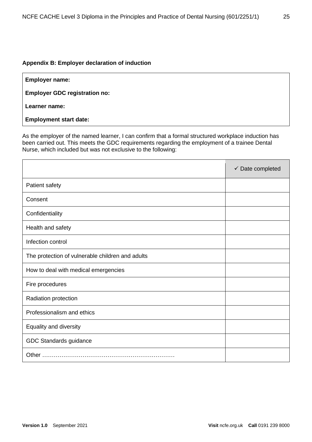#### **Appendix B: Employer declaration of induction**

| <b>Employer name:</b> |  |  |  |
|-----------------------|--|--|--|
|-----------------------|--|--|--|

**Employer GDC registration no:**

**Learner name:**

**Employment start date:**

As the employer of the named learner, I can confirm that a formal structured workplace induction has been carried out. This meets the GDC requirements regarding the employment of a trainee Dental Nurse, which included but was not exclusive to the following:

|                                                  | $\checkmark$ Date completed |
|--------------------------------------------------|-----------------------------|
| Patient safety                                   |                             |
| Consent                                          |                             |
| Confidentiality                                  |                             |
| Health and safety                                |                             |
| Infection control                                |                             |
| The protection of vulnerable children and adults |                             |
| How to deal with medical emergencies             |                             |
| Fire procedures                                  |                             |
| Radiation protection                             |                             |
| Professionalism and ethics                       |                             |
| Equality and diversity                           |                             |
| GDC Standards guidance                           |                             |
|                                                  |                             |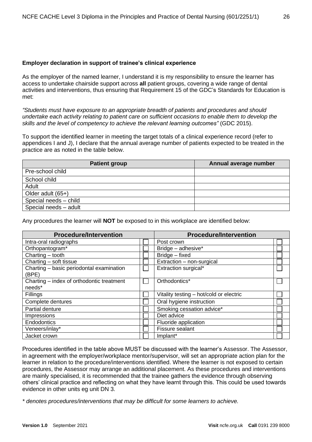#### **Employer declaration in support of trainee's clinical experience**

As the employer of the named learner, I understand it is my responsibility to ensure the learner has access to undertake chairside support across **all** patient groups, covering a wide range of dental activities and interventions, thus ensuring that Requirement 15 of the GDC's Standards for Education is met:

*"Students must have exposure to an appropriate breadth of patients and procedures and should undertake each activity relating to patient care on sufficient occasions to enable them to develop the skills and the level of competency to achieve the relevant learning outcomes"* (GDC 2015).

To support the identified learner in meeting the target totals of a clinical experience record (refer to appendices I and J), I declare that the annual average number of patients expected to be treated in the practice are as noted in the table below.

| <b>Patient group</b>  | Annual average number |
|-----------------------|-----------------------|
| Pre-school child      |                       |
| School child          |                       |
| Adult                 |                       |
| Older adult $(65+)$   |                       |
| Special needs - child |                       |
| Special needs - adult |                       |

Any procedures the learner will **NOT** be exposed to in this workplace are identified below:

| <b>Procedure/Intervention</b>                     | <b>Procedure/Intervention</b>           |  |
|---------------------------------------------------|-----------------------------------------|--|
| Intra-oral radiographs                            | Post crown                              |  |
| Orthopantogram*                                   | Bridge - adhesive*                      |  |
| Charting $-$ tooth                                | Bridge - fixed                          |  |
| Charting - soft tissue                            | Extraction - non-surgical               |  |
| Charting - basic periodontal examination<br>(BPE) | Extraction surgical*                    |  |
| Charting – index of orthodontic treatment         | Orthodontics*                           |  |
| needs*                                            |                                         |  |
| Fillings                                          | Vitality testing - hot/cold or electric |  |
| Complete dentures                                 | Oral hygiene instruction                |  |
| Partial denture                                   | Smoking cessation advice*               |  |
| Impressions                                       | Diet advice                             |  |
| Endodontics                                       | Fluoride application                    |  |
| Veneers/inlay*                                    | Fissure sealant                         |  |
| Jacket crown                                      | Implant*                                |  |

Procedures identified in the table above MUST be discussed with the learner's Assessor. The Assessor, in agreement with the employer/workplace mentor/supervisor, will set an appropriate action plan for the learner in relation to the procedure/interventions identified. Where the learner is not exposed to certain procedures, the Assessor may arrange an additional placement. As these procedures and interventions are mainly specialised, it is recommended that the trainee gathers the evidence through observing others' clinical practice and reflecting on what they have learnt through this. This could be used towards evidence in other units eg unit DN 3.

*\* denotes procedures/interventions that may be difficult for some learners to achieve.*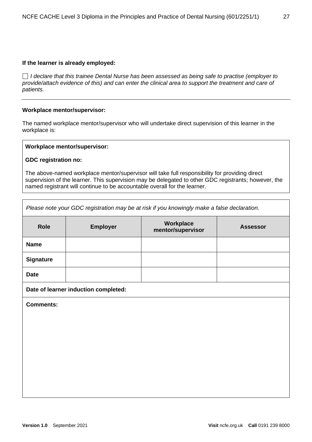#### **If the learner is already employed:**

 *I declare that this trainee Dental Nurse has been assessed as being safe to practise (employer to provide/attach evidence of this) and can enter the clinical area to support the treatment and care of patients.*

#### **Workplace mentor/supervisor:**

The named workplace mentor/supervisor who will undertake direct supervision of this learner in the workplace is:

#### **Workplace mentor/supervisor:**

#### **GDC registration no:**

The above-named workplace mentor/supervisor will take full responsibility for providing direct supervision of the learner. This supervision may be delegated to other GDC registrants; however, the named registrant will continue to be accountable overall for the learner.

| Please note your GDC registration may be at risk if you knowingly make a false declaration. |                                      |                                |                 |  |
|---------------------------------------------------------------------------------------------|--------------------------------------|--------------------------------|-----------------|--|
| <b>Role</b>                                                                                 | <b>Employer</b>                      | Workplace<br>mentor/supervisor | <b>Assessor</b> |  |
| <b>Name</b>                                                                                 |                                      |                                |                 |  |
| <b>Signature</b>                                                                            |                                      |                                |                 |  |
| <b>Date</b>                                                                                 |                                      |                                |                 |  |
|                                                                                             | Date of learner induction completed: |                                |                 |  |
| <b>Comments:</b>                                                                            |                                      |                                |                 |  |
|                                                                                             |                                      |                                |                 |  |
|                                                                                             |                                      |                                |                 |  |
|                                                                                             |                                      |                                |                 |  |
|                                                                                             |                                      |                                |                 |  |
|                                                                                             |                                      |                                |                 |  |
|                                                                                             |                                      |                                |                 |  |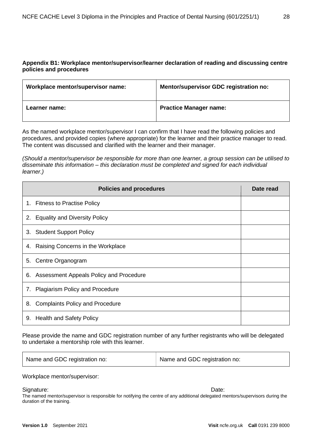#### **Appendix B1: Workplace mentor/supervisor/learner declaration of reading and discussing centre policies and procedures**

| Workplace mentor/supervisor name: | Mentor/supervisor GDC registration no: |
|-----------------------------------|----------------------------------------|
| Learner name:                     | <b>Practice Manager name:</b>          |

As the named workplace mentor/supervisor I can confirm that I have read the following policies and procedures, and provided copies (where appropriate) for the learner and their practice manager to read. The content was discussed and clarified with the learner and their manager.

*(Should a mentor/supervisor be responsible for more than one learner, a group session can be utilised to disseminate this information – this declaration must be completed and signed for each individual learner.)*

| <b>Policies and procedures</b>                | Date read |
|-----------------------------------------------|-----------|
| 1. Fitness to Practise Policy                 |           |
| <b>Equality and Diversity Policy</b><br>2.    |           |
| 3. Student Support Policy                     |           |
| Raising Concerns in the Workplace<br>4.       |           |
| Centre Organogram<br>5.                       |           |
| Assessment Appeals Policy and Procedure<br>6. |           |
| 7. Plagiarism Policy and Procedure            |           |
| <b>Complaints Policy and Procedure</b><br>8.  |           |
| <b>Health and Safety Policy</b><br>9.         |           |

Please provide the name and GDC registration number of any further registrants who will be delegated to undertake a mentorship role with this learner.

| Name and GDC registration no: | Name and GDC registration no: |
|-------------------------------|-------------------------------|
|-------------------------------|-------------------------------|

Workplace mentor/supervisor:

#### Signature: Date: **Date:** Date: **Date: Date: Date: Date: Date: Date: Date: Date: Date: Date: Date: Date: Date: Date: Date: Date: Date: Date: Date: Date: Date: Date: Date: Date:**

The named mentor/supervisor is responsible for notifying the centre of any additional delegated mentors/supervisors during the duration of the training.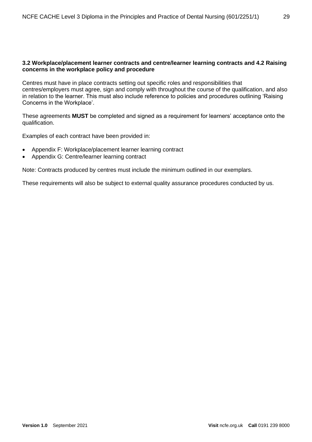#### **3.2 Workplace/placement learner contracts and centre/learner learning contracts and 4.2 Raising concerns in the workplace policy and procedure**

Centres must have in place contracts setting out specific roles and responsibilities that centres/employers must agree, sign and comply with throughout the course of the qualification, and also in relation to the learner. This must also include reference to policies and procedures outlining 'Raising Concerns in the Workplace'.

These agreements **MUST** be completed and signed as a requirement for learners' acceptance onto the qualification.

Examples of each contract have been provided in:

- Appendix F: Workplace/placement learner learning contract
- Appendix G: Centre/learner learning contract

Note: Contracts produced by centres must include the minimum outlined in our exemplars.

These requirements will also be subject to external quality assurance procedures conducted by us.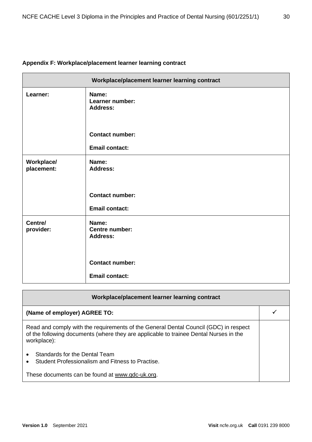#### **Appendix F: Workplace/placement learner learning contract**

|                          | Workplace/placement learner learning contract     |
|--------------------------|---------------------------------------------------|
| Learner:                 | Name:<br>Learner number:<br><b>Address:</b>       |
|                          | <b>Contact number:</b>                            |
|                          | <b>Email contact:</b>                             |
| Workplace/<br>placement: | Name:<br><b>Address:</b>                          |
|                          | <b>Contact number:</b>                            |
|                          | <b>Email contact:</b>                             |
| Centre/<br>provider:     | Name:<br><b>Centre number:</b><br><b>Address:</b> |
|                          | <b>Contact number:</b>                            |
|                          | <b>Email contact:</b>                             |

| Workplace/placement learner learning contract                                                                                                                                                |  |
|----------------------------------------------------------------------------------------------------------------------------------------------------------------------------------------------|--|
| (Name of employer) AGREE TO:                                                                                                                                                                 |  |
| Read and comply with the requirements of the General Dental Council (GDC) in respect<br>of the following documents (where they are applicable to trainee Dental Nurses in the<br>workplace): |  |
| Standards for the Dental Team<br>Student Professionalism and Fitness to Practise.                                                                                                            |  |
| These documents can be found at www.gdc-uk.org.                                                                                                                                              |  |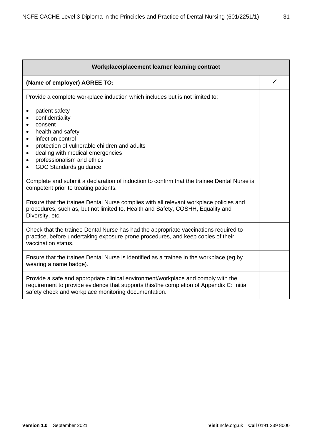| Workplace/placement learner learning contract                                                                                                                                                                                                                                                                                                   |   |  |
|-------------------------------------------------------------------------------------------------------------------------------------------------------------------------------------------------------------------------------------------------------------------------------------------------------------------------------------------------|---|--|
| (Name of employer) AGREE TO:                                                                                                                                                                                                                                                                                                                    | ✓ |  |
| Provide a complete workplace induction which includes but is not limited to:                                                                                                                                                                                                                                                                    |   |  |
| patient safety<br>$\bullet$<br>confidentiality<br>$\bullet$<br>consent<br>$\bullet$<br>health and safety<br>$\bullet$<br>infection control<br>$\bullet$<br>protection of vulnerable children and adults<br>$\bullet$<br>dealing with medical emergencies<br>٠<br>professionalism and ethics<br>$\bullet$<br>GDC Standards guidance<br>$\bullet$ |   |  |
| Complete and submit a declaration of induction to confirm that the trainee Dental Nurse is<br>competent prior to treating patients.                                                                                                                                                                                                             |   |  |
| Ensure that the trainee Dental Nurse complies with all relevant workplace policies and<br>procedures, such as, but not limited to, Health and Safety, COSHH, Equality and<br>Diversity, etc.                                                                                                                                                    |   |  |
| Check that the trainee Dental Nurse has had the appropriate vaccinations required to<br>practice, before undertaking exposure prone procedures, and keep copies of their<br>vaccination status.                                                                                                                                                 |   |  |
| Ensure that the trainee Dental Nurse is identified as a trainee in the workplace (eg by<br>wearing a name badge).                                                                                                                                                                                                                               |   |  |
| Provide a safe and appropriate clinical environment/workplace and comply with the<br>requirement to provide evidence that supports this/the completion of Appendix C: Initial<br>safety check and workplace monitoring documentation.                                                                                                           |   |  |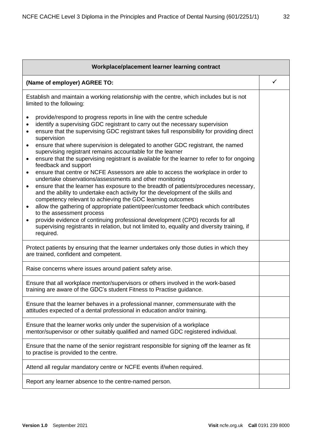| Workplace/placement learner learning contract                                                                                                                                                                                                                                                                                                                                                                                                                                                                                                                                                                                                                                                                                                                                                                                                                                                                                                                                                                                                                                                                                                                                                                                                                                                                                                                      |              |  |
|--------------------------------------------------------------------------------------------------------------------------------------------------------------------------------------------------------------------------------------------------------------------------------------------------------------------------------------------------------------------------------------------------------------------------------------------------------------------------------------------------------------------------------------------------------------------------------------------------------------------------------------------------------------------------------------------------------------------------------------------------------------------------------------------------------------------------------------------------------------------------------------------------------------------------------------------------------------------------------------------------------------------------------------------------------------------------------------------------------------------------------------------------------------------------------------------------------------------------------------------------------------------------------------------------------------------------------------------------------------------|--------------|--|
| (Name of employer) AGREE TO:                                                                                                                                                                                                                                                                                                                                                                                                                                                                                                                                                                                                                                                                                                                                                                                                                                                                                                                                                                                                                                                                                                                                                                                                                                                                                                                                       | $\checkmark$ |  |
| Establish and maintain a working relationship with the centre, which includes but is not<br>limited to the following:                                                                                                                                                                                                                                                                                                                                                                                                                                                                                                                                                                                                                                                                                                                                                                                                                                                                                                                                                                                                                                                                                                                                                                                                                                              |              |  |
| provide/respond to progress reports in line with the centre schedule<br>$\bullet$<br>identify a supervising GDC registrant to carry out the necessary supervision<br>$\bullet$<br>ensure that the supervising GDC registrant takes full responsibility for providing direct<br>$\bullet$<br>supervision<br>ensure that where supervision is delegated to another GDC registrant, the named<br>$\bullet$<br>supervising registrant remains accountable for the learner<br>ensure that the supervising registrant is available for the learner to refer to for ongoing<br>٠<br>feedback and support<br>ensure that centre or NCFE Assessors are able to access the workplace in order to<br>$\bullet$<br>undertake observations/assessments and other monitoring<br>ensure that the learner has exposure to the breadth of patients/procedures necessary,<br>$\bullet$<br>and the ability to undertake each activity for the development of the skills and<br>competency relevant to achieving the GDC learning outcomes<br>allow the gathering of appropriate patient/peer/customer feedback which contributes<br>$\bullet$<br>to the assessment process<br>provide evidence of continuing professional development (CPD) records for all<br>$\bullet$<br>supervising registrants in relation, but not limited to, equality and diversity training, if<br>required. |              |  |
| Protect patients by ensuring that the learner undertakes only those duties in which they<br>are trained, confident and competent.                                                                                                                                                                                                                                                                                                                                                                                                                                                                                                                                                                                                                                                                                                                                                                                                                                                                                                                                                                                                                                                                                                                                                                                                                                  |              |  |
| Raise concerns where issues around patient safety arise.                                                                                                                                                                                                                                                                                                                                                                                                                                                                                                                                                                                                                                                                                                                                                                                                                                                                                                                                                                                                                                                                                                                                                                                                                                                                                                           |              |  |
| Ensure that all workplace mentor/supervisors or others involved in the work-based<br>training are aware of the GDC's student Fitness to Practise guidance.                                                                                                                                                                                                                                                                                                                                                                                                                                                                                                                                                                                                                                                                                                                                                                                                                                                                                                                                                                                                                                                                                                                                                                                                         |              |  |
| Ensure that the learner behaves in a professional manner, commensurate with the<br>attitudes expected of a dental professional in education and/or training.                                                                                                                                                                                                                                                                                                                                                                                                                                                                                                                                                                                                                                                                                                                                                                                                                                                                                                                                                                                                                                                                                                                                                                                                       |              |  |
| Ensure that the learner works only under the supervision of a workplace<br>mentor/supervisor or other suitably qualified and named GDC registered individual.                                                                                                                                                                                                                                                                                                                                                                                                                                                                                                                                                                                                                                                                                                                                                                                                                                                                                                                                                                                                                                                                                                                                                                                                      |              |  |
| Ensure that the name of the senior registrant responsible for signing off the learner as fit<br>to practise is provided to the centre.                                                                                                                                                                                                                                                                                                                                                                                                                                                                                                                                                                                                                                                                                                                                                                                                                                                                                                                                                                                                                                                                                                                                                                                                                             |              |  |
| Attend all regular mandatory centre or NCFE events if/when required.                                                                                                                                                                                                                                                                                                                                                                                                                                                                                                                                                                                                                                                                                                                                                                                                                                                                                                                                                                                                                                                                                                                                                                                                                                                                                               |              |  |
| Report any learner absence to the centre-named person.                                                                                                                                                                                                                                                                                                                                                                                                                                                                                                                                                                                                                                                                                                                                                                                                                                                                                                                                                                                                                                                                                                                                                                                                                                                                                                             |              |  |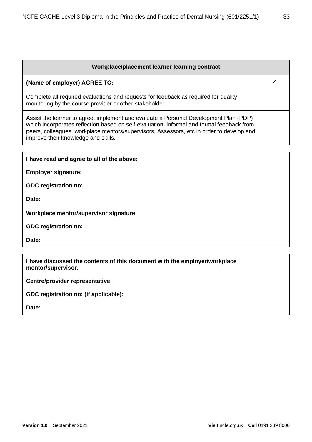| Workplace/placement learner learning contract                                                                                                                                                                                                                                                                         |  |
|-----------------------------------------------------------------------------------------------------------------------------------------------------------------------------------------------------------------------------------------------------------------------------------------------------------------------|--|
| (Name of employer) AGREE TO:                                                                                                                                                                                                                                                                                          |  |
| Complete all required evaluations and requests for feedback as required for quality<br>monitoring by the course provider or other stakeholder.                                                                                                                                                                        |  |
| Assist the learner to agree, implement and evaluate a Personal Development Plan (PDP)<br>which incorporates reflection based on self-evaluation, informal and formal feedback from<br>peers, colleagues, workplace mentors/supervisors, Assessors, etc in order to develop and<br>improve their knowledge and skills. |  |

**I have read and agree to all of the above:**

**Employer signature:** 

**GDC registration no:**

**Date:** 

**Workplace mentor/supervisor signature:** 

**GDC registration no:** 

**Date:** 

**I have discussed the contents of this document with the employer/workplace mentor/supervisor.**

**Centre/provider representative:** 

**GDC registration no: (if applicable):**

**Date:**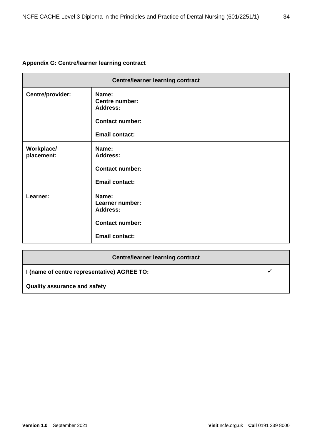#### **Appendix G: Centre/learner learning contract**

| <b>Centre/learner learning contract</b> |                                                                                                      |  |
|-----------------------------------------|------------------------------------------------------------------------------------------------------|--|
| Centre/provider:                        | Name:<br><b>Centre number:</b><br><b>Address:</b><br><b>Contact number:</b><br><b>Email contact:</b> |  |
| Workplace/<br>placement:                | Name:<br><b>Address:</b><br><b>Contact number:</b><br><b>Email contact:</b>                          |  |
| Learner:                                | Name:<br>Learner number:<br><b>Address:</b><br><b>Contact number:</b><br><b>Email contact:</b>       |  |

| <b>Centre/learner learning contract</b>     |  |  |
|---------------------------------------------|--|--|
| I (name of centre representative) AGREE TO: |  |  |
| <b>Quality assurance and safety</b>         |  |  |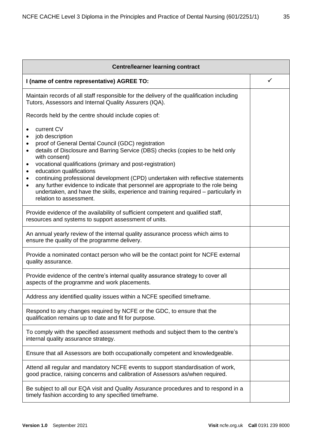| <b>Centre/learner learning contract</b>                                                                                                                                                                                                                                                                                                           |              |  |
|---------------------------------------------------------------------------------------------------------------------------------------------------------------------------------------------------------------------------------------------------------------------------------------------------------------------------------------------------|--------------|--|
| I (name of centre representative) AGREE TO:                                                                                                                                                                                                                                                                                                       | $\checkmark$ |  |
| Maintain records of all staff responsible for the delivery of the qualification including<br>Tutors, Assessors and Internal Quality Assurers (IQA).                                                                                                                                                                                               |              |  |
| Records held by the centre should include copies of:                                                                                                                                                                                                                                                                                              |              |  |
| current CV<br>$\bullet$<br>job description<br>$\bullet$<br>proof of General Dental Council (GDC) registration<br>$\bullet$<br>details of Disclosure and Barring Service (DBS) checks (copies to be held only<br>$\bullet$<br>with consent)<br>vocational qualifications (primary and post-registration)<br>٠                                      |              |  |
| education qualifications<br>٠<br>continuing professional development (CPD) undertaken with reflective statements<br>$\bullet$<br>any further evidence to indicate that personnel are appropriate to the role being<br>$\bullet$<br>undertaken, and have the skills, experience and training required – particularly in<br>relation to assessment. |              |  |
| Provide evidence of the availability of sufficient competent and qualified staff,<br>resources and systems to support assessment of units.                                                                                                                                                                                                        |              |  |
| An annual yearly review of the internal quality assurance process which aims to<br>ensure the quality of the programme delivery.                                                                                                                                                                                                                  |              |  |
| Provide a nominated contact person who will be the contact point for NCFE external<br>quality assurance.                                                                                                                                                                                                                                          |              |  |
| Provide evidence of the centre's internal quality assurance strategy to cover all<br>aspects of the programme and work placements.                                                                                                                                                                                                                |              |  |
| Address any identified quality issues within a NCFE specified timeframe.                                                                                                                                                                                                                                                                          |              |  |
| Respond to any changes required by NCFE or the GDC, to ensure that the<br>qualification remains up to date and fit for purpose.                                                                                                                                                                                                                   |              |  |
| To comply with the specified assessment methods and subject them to the centre's<br>internal quality assurance strategy.                                                                                                                                                                                                                          |              |  |
| Ensure that all Assessors are both occupationally competent and knowledgeable.                                                                                                                                                                                                                                                                    |              |  |
| Attend all regular and mandatory NCFE events to support standardisation of work,<br>good practice, raising concerns and calibration of Assessors as/when required.                                                                                                                                                                                |              |  |
| Be subject to all our EQA visit and Quality Assurance procedures and to respond in a<br>timely fashion according to any specified timeframe.                                                                                                                                                                                                      |              |  |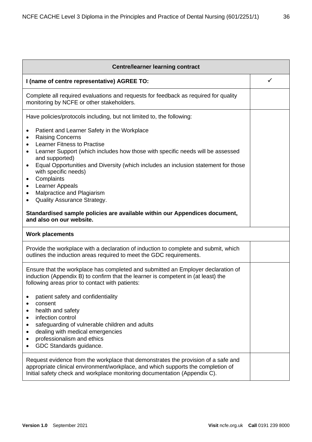| <b>Centre/learner learning contract</b>                                                                                                                                                                                                                                                                                                                                                                                                                                                                                                                                                        |   |  |
|------------------------------------------------------------------------------------------------------------------------------------------------------------------------------------------------------------------------------------------------------------------------------------------------------------------------------------------------------------------------------------------------------------------------------------------------------------------------------------------------------------------------------------------------------------------------------------------------|---|--|
| I (name of centre representative) AGREE TO:                                                                                                                                                                                                                                                                                                                                                                                                                                                                                                                                                    | ✓ |  |
| Complete all required evaluations and requests for feedback as required for quality<br>monitoring by NCFE or other stakeholders.                                                                                                                                                                                                                                                                                                                                                                                                                                                               |   |  |
| Have policies/protocols including, but not limited to, the following:                                                                                                                                                                                                                                                                                                                                                                                                                                                                                                                          |   |  |
| Patient and Learner Safety in the Workplace<br>٠<br><b>Raising Concerns</b><br><b>Learner Fitness to Practise</b><br>٠<br>Learner Support (which includes how those with specific needs will be assessed<br>$\bullet$<br>and supported)<br>Equal Opportunities and Diversity (which includes an inclusion statement for those<br>$\bullet$<br>with specific needs)<br>Complaints<br>٠<br>Learner Appeals<br>٠<br>Malpractice and Plagiarism<br>٠<br>Quality Assurance Strategy.<br>٠<br>Standardised sample policies are available within our Appendices document,<br>and also on our website. |   |  |
| <b>Work placements</b>                                                                                                                                                                                                                                                                                                                                                                                                                                                                                                                                                                         |   |  |
| Provide the workplace with a declaration of induction to complete and submit, which<br>outlines the induction areas required to meet the GDC requirements.                                                                                                                                                                                                                                                                                                                                                                                                                                     |   |  |
| Ensure that the workplace has completed and submitted an Employer declaration of<br>induction (Appendix B) to confirm that the learner is competent in (at least) the<br>following areas prior to contact with patients:<br>patient safety and confidentiality<br>consent<br>health and safety<br>infection control<br>٠<br>safeguarding of vulnerable children and adults<br>٠<br>dealing with medical emergencies<br>٠<br>professionalism and ethics<br>GDC Standards guidance.                                                                                                              |   |  |
| Request evidence from the workplace that demonstrates the provision of a safe and<br>appropriate clinical environment/workplace, and which supports the completion of<br>Initial safety check and workplace monitoring documentation (Appendix C).                                                                                                                                                                                                                                                                                                                                             |   |  |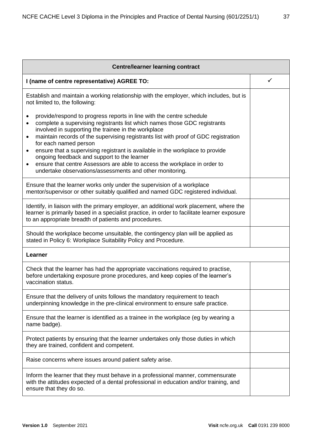| <b>Centre/learner learning contract</b>                                                                                                                                                                                                                                                                                                                                                                                                                                                                                                                                                                                                                            |   |  |
|--------------------------------------------------------------------------------------------------------------------------------------------------------------------------------------------------------------------------------------------------------------------------------------------------------------------------------------------------------------------------------------------------------------------------------------------------------------------------------------------------------------------------------------------------------------------------------------------------------------------------------------------------------------------|---|--|
| I (name of centre representative) AGREE TO:                                                                                                                                                                                                                                                                                                                                                                                                                                                                                                                                                                                                                        | ✓ |  |
| Establish and maintain a working relationship with the employer, which includes, but is<br>not limited to, the following:                                                                                                                                                                                                                                                                                                                                                                                                                                                                                                                                          |   |  |
| provide/respond to progress reports in line with the centre schedule<br>$\bullet$<br>complete a supervising registrants list which names those GDC registrants<br>$\bullet$<br>involved in supporting the trainee in the workplace<br>maintain records of the supervising registrants list with proof of GDC registration<br>$\bullet$<br>for each named person<br>ensure that a supervising registrant is available in the workplace to provide<br>$\bullet$<br>ongoing feedback and support to the learner<br>ensure that centre Assessors are able to access the workplace in order to<br>$\bullet$<br>undertake observations/assessments and other monitoring. |   |  |
| Ensure that the learner works only under the supervision of a workplace<br>mentor/supervisor or other suitably qualified and named GDC registered individual.                                                                                                                                                                                                                                                                                                                                                                                                                                                                                                      |   |  |
| Identify, in liaison with the primary employer, an additional work placement, where the<br>learner is primarily based in a specialist practice, in order to facilitate learner exposure<br>to an appropriate breadth of patients and procedures.                                                                                                                                                                                                                                                                                                                                                                                                                   |   |  |
| Should the workplace become unsuitable, the contingency plan will be applied as<br>stated in Policy 6: Workplace Suitability Policy and Procedure.                                                                                                                                                                                                                                                                                                                                                                                                                                                                                                                 |   |  |
| Learner                                                                                                                                                                                                                                                                                                                                                                                                                                                                                                                                                                                                                                                            |   |  |
| Check that the learner has had the appropriate vaccinations required to practise,<br>before undertaking exposure prone procedures, and keep copies of the learner's<br>vaccination status.                                                                                                                                                                                                                                                                                                                                                                                                                                                                         |   |  |
| Ensure that the delivery of units follows the mandatory requirement to teach<br>underpinning knowledge in the pre-clinical environment to ensure safe practice.                                                                                                                                                                                                                                                                                                                                                                                                                                                                                                    |   |  |
| Ensure that the learner is identified as a trainee in the workplace (eg by wearing a<br>name badge).                                                                                                                                                                                                                                                                                                                                                                                                                                                                                                                                                               |   |  |
| Protect patients by ensuring that the learner undertakes only those duties in which<br>they are trained, confident and competent.                                                                                                                                                                                                                                                                                                                                                                                                                                                                                                                                  |   |  |
| Raise concerns where issues around patient safety arise.                                                                                                                                                                                                                                                                                                                                                                                                                                                                                                                                                                                                           |   |  |
| Inform the learner that they must behave in a professional manner, commensurate<br>with the attitudes expected of a dental professional in education and/or training, and<br>ensure that they do so.                                                                                                                                                                                                                                                                                                                                                                                                                                                               |   |  |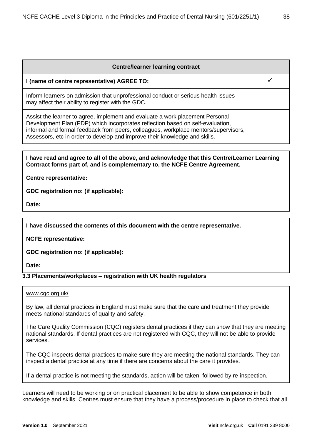| <b>Centre/learner learning contract</b>                                                                                                                                                                                                                                                                                              |  |  |
|--------------------------------------------------------------------------------------------------------------------------------------------------------------------------------------------------------------------------------------------------------------------------------------------------------------------------------------|--|--|
| I (name of centre representative) AGREE TO:                                                                                                                                                                                                                                                                                          |  |  |
| Inform learners on admission that unprofessional conduct or serious health issues<br>may affect their ability to register with the GDC.                                                                                                                                                                                              |  |  |
| Assist the learner to agree, implement and evaluate a work placement Personal<br>Development Plan (PDP) which incorporates reflection based on self-evaluation,<br>informal and formal feedback from peers, colleagues, workplace mentors/supervisors,<br>Assessors, etc in order to develop and improve their knowledge and skills. |  |  |

#### **I have read and agree to all of the above, and acknowledge that this Centre/Learner Learning Contract forms part of, and is complementary to, the NCFE Centre Agreement.**

#### **Centre representative:**

**GDC registration no: (if applicable):** 

**Date:** 

**I have discussed the contents of this document with the centre representative.**

**NCFE representative:** 

**GDC registration no: (if applicable):** 

**Date:** 

#### **3.3 Placements/workplaces – registration with UK health regulators**

#### [www.cqc.org.uk/](http://www.cqc.org.uk/)

By law, all dental practices in England must make sure that the care and treatment they provide meets national standards of quality and safety.

The Care Quality Commission (CQC) registers dental practices if they can show that they are meeting national standards. If dental practices are not registered with CQC, they will not be able to provide services.

The CQC inspects dental practices to make sure they are meeting the national standards. They can inspect a dental practice at any time if there are concerns about the care it provides.

If a dental practice is not meeting the standards, action will be taken, followed by re-inspection.

Learners will need to be working or on practical placement to be able to show competence in both knowledge and skills. Centres must ensure that they have a process/procedure in place to check that all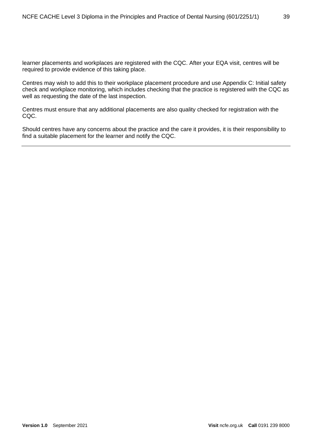learner placements and workplaces are registered with the CQC. After your EQA visit, centres will be required to provide evidence of this taking place.

Centres may wish to add this to their workplace placement procedure and use Appendix C: Initial safety check and workplace monitoring, which includes checking that the practice is registered with the CQC as well as requesting the date of the last inspection.

Centres must ensure that any additional placements are also quality checked for registration with the CQC.

Should centres have any concerns about the practice and the care it provides, it is their responsibility to find a suitable placement for the learner and notify the CQC.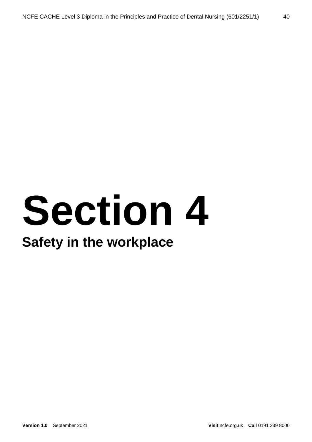## **Section 4**

### **Safety in the workplace**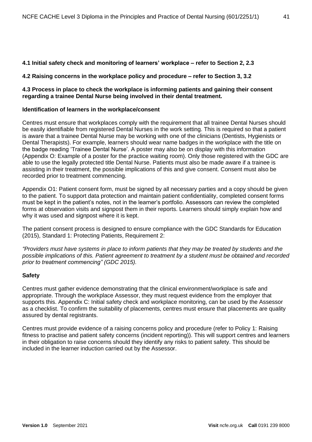#### **4.1 Initial safety check and monitoring of learners' workplace – refer to Section 2, 2.3**

#### **4.2 Raising concerns in the workplace policy and procedure – refer to Section 3, 3.2**

#### **4.3 Process in place to check the workplace is informing patients and gaining their consent regarding a trainee Dental Nurse being involved in their dental treatment.**

#### **Identification of learners in the workplace/consent**

Centres must ensure that workplaces comply with the requirement that all trainee Dental Nurses should be easily identifiable from registered Dental Nurses in the work setting. This is required so that a patient is aware that a trainee Dental Nurse may be working with one of the clinicians (Dentists, Hygienists or Dental Therapists). For example, learners should wear name badges in the workplace with the title on the badge reading 'Trainee Dental Nurse'. A poster may also be on display with this information (Appendix O: Example of a poster for the practice waiting room). Only those registered with the GDC are able to use the legally protected title Dental Nurse. Patients must also be made aware if a trainee is assisting in their treatment, the possible implications of this and give consent. Consent must also be recorded prior to treatment commencing.

Appendix O1: Patient consent form, must be signed by all necessary parties and a copy should be given to the patient. To support data protection and maintain patient confidentiality, completed consent forms must be kept in the patient's notes, not in the learner's portfolio. Assessors can review the completed forms at observation visits and signpost them in their reports. Learners should simply explain how and why it was used and signpost where it is kept.

The patient consent process is designed to ensure compliance with the GDC Standards for Education (2015), Standard 1: Protecting Patients, Requirement 2:

*"Providers must have systems in place to inform patients that they may be treated by students and the possible implications of this. Patient agreement to treatment by a student must be obtained and recorded prior to treatment commencing" (GDC 2015).*

#### **Safety**

Centres must gather evidence demonstrating that the clinical environment/workplace is safe and appropriate. Through the workplace Assessor, they must request evidence from the employer that supports this. Appendix C: Initial safety check and workplace monitoring, can be used by the Assessor as a checklist. To confirm the suitability of placements, centres must ensure that placements are quality assured by dental registrants.

Centres must provide evidence of a raising concerns policy and procedure (refer to Policy 1: Raising fitness to practise and patient safety concerns (incident reporting)). This will support centres and learners in their obligation to raise concerns should they identify any risks to patient safety. This should be included in the learner induction carried out by the Assessor.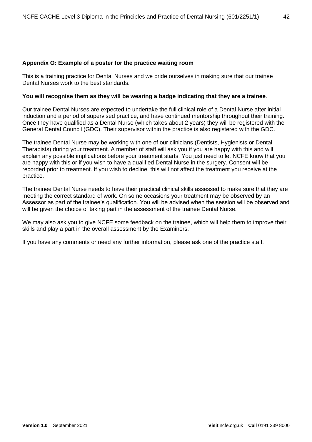#### **Appendix O: Example of a poster for the practice waiting room**

This is a training practice for Dental Nurses and we pride ourselves in making sure that our trainee Dental Nurses work to the best standards.

#### **You will recognise them as they will be wearing a badge indicating that they are a trainee**.

Our trainee Dental Nurses are expected to undertake the full clinical role of a Dental Nurse after initial induction and a period of supervised practice, and have continued mentorship throughout their training. Once they have qualified as a Dental Nurse (which takes about 2 years) they will be registered with the General Dental Council (GDC). Their supervisor within the practice is also registered with the GDC.

The trainee Dental Nurse may be working with one of our clinicians (Dentists, Hygienists or Dental Therapists) during your treatment. A member of staff will ask you if you are happy with this and will explain any possible implications before your treatment starts. You just need to let NCFE know that you are happy with this or if you wish to have a qualified Dental Nurse in the surgery. Consent will be recorded prior to treatment. If you wish to decline, this will not affect the treatment you receive at the practice.

The trainee Dental Nurse needs to have their practical clinical skills assessed to make sure that they are meeting the correct standard of work. On some occasions your treatment may be observed by an Assessor as part of the trainee's qualification. You will be advised when the session will be observed and will be given the choice of taking part in the assessment of the trainee Dental Nurse.

We may also ask you to give NCFE some feedback on the trainee, which will help them to improve their skills and play a part in the overall assessment by the Examiners.

If you have any comments or need any further information, please ask one of the practice staff.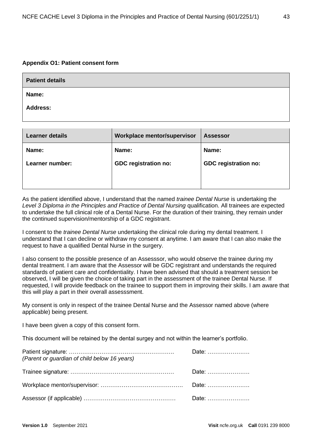#### **Appendix O1: Patient consent form**

| <b>Patient details</b> |  |
|------------------------|--|
| Name:                  |  |
| <b>Address:</b>        |  |

| <b>Learner details</b> | <b>Workplace mentor/supervisor</b> | <b>Assessor</b>             |
|------------------------|------------------------------------|-----------------------------|
| Name:                  | Name:                              | Name:                       |
| Learner number:        | <b>GDC registration no:</b>        | <b>GDC registration no:</b> |
|                        |                                    |                             |
|                        |                                    |                             |

As the patient identified above, I understand that the named *trainee Dental Nurse* is undertaking the Level 3 Diploma in the Principles and Practice of Dental Nursing qualification. All trainees are expected to undertake the full clinical role of a Dental Nurse. For the duration of their training, they remain under the continued supervision/mentorship of a GDC registrant.

I consent to the *trainee Dental Nurse* undertaking the clinical role during my dental treatment. I understand that I can decline or withdraw my consent at anytime. I am aware that I can also make the request to have a qualified Dental Nurse in the surgery.

I also consent to the possible presence of an Assesssor, who would observe the trainee during my dental treatment. I am aware that the Assessor will be GDC registrant and understands the required standards of patient care and confidentiality. I have been advised that should a treatment session be observed, I will be given the choice of taking part in the assessment of the trainee Dental Nurse. If requested, I will provide feedback on the trainee to support them in improving their skills. I am aware that this will play a part in their overall assesssment.

My consent is only in respect of the trainee Dental Nurse and the Assessor named above (where applicable) being present.

I have been given a copy of this consent form.

This document will be retained by the dental surgey and not within the learner's portfolio.

| (Parent or guardian of child below 16 years) | Date: |
|----------------------------------------------|-------|
|                                              | Date: |
|                                              |       |
|                                              |       |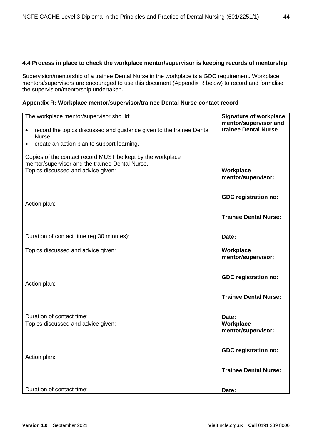#### **4.4 Process in place to check the workplace mentor/supervisor is keeping records of mentorship**

Supervision/mentorship of a trainee Dental Nurse in the workplace is a GDC requirement. Workplace mentors/supervisors are encouraged to use this document (Appendix R below) to record and formalise the supervision/mentorship undertaken.

#### **Appendix R: Workplace mentor/supervisor/trainee Dental Nurse contact record**

| The workplace mentor/supervisor should:                                                                       | <b>Signature of workplace</b><br>mentor/supervisor and |
|---------------------------------------------------------------------------------------------------------------|--------------------------------------------------------|
| record the topics discussed and guidance given to the trainee Dental<br><b>Nurse</b>                          | trainee Dental Nurse                                   |
| create an action plan to support learning.                                                                    |                                                        |
| Copies of the contact record MUST be kept by the workplace<br>mentor/supervisor and the trainee Dental Nurse. |                                                        |
| Topics discussed and advice given:                                                                            | Workplace<br>mentor/supervisor:                        |
| Action plan:                                                                                                  | <b>GDC</b> registration no:                            |
|                                                                                                               | <b>Trainee Dental Nurse:</b>                           |
| Duration of contact time (eg 30 minutes):                                                                     | Date:                                                  |
| Topics discussed and advice given:                                                                            | Workplace<br>mentor/supervisor:                        |
| Action plan:                                                                                                  | <b>GDC</b> registration no:                            |
|                                                                                                               | <b>Trainee Dental Nurse:</b>                           |
| Duration of contact time:                                                                                     | Date:                                                  |
| Topics discussed and advice given:                                                                            | Workplace<br>mentor/supervisor:                        |
| Action plan:                                                                                                  | <b>GDC registration no:</b>                            |
|                                                                                                               | <b>Trainee Dental Nurse:</b>                           |
| Duration of contact time:                                                                                     | Date:                                                  |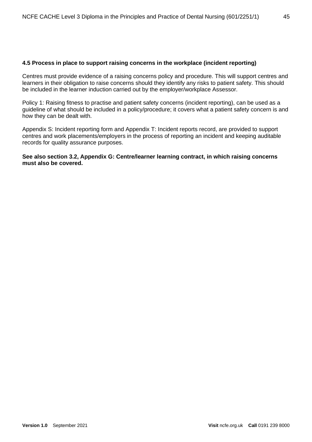#### **4.5 Process in place to support raising concerns in the workplace (incident reporting)**

Centres must provide evidence of a raising concerns policy and procedure. This will support centres and learners in their obligation to raise concerns should they identify any risks to patient safety. This should be included in the learner induction carried out by the employer/workplace Assessor.

Policy 1: Raising fitness to practise and patient safety concerns (incident reporting), can be used as a guideline of what should be included in a policy/procedure; it covers what a patient safety concern is and how they can be dealt with.

Appendix S: Incident reporting form and Appendix T: Incident reports record, are provided to support centres and work placements/employers in the process of reporting an incident and keeping auditable records for quality assurance purposes.

#### **See also section 3.2, Appendix G: Centre/learner learning contract, in which raising concerns must also be covered.**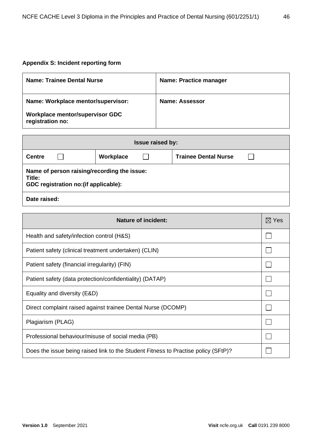#### **Appendix S: Incident reporting form**

| <b>Name: Trainee Dental Nurse</b>                   | <b>Name: Practice manager</b> |
|-----------------------------------------------------|-------------------------------|
| Name: Workplace mentor/supervisor:                  | Name: Assessor                |
| Workplace mentor/supervisor GDC<br>registration no: |                               |

| <b>Issue raised by:</b>                                                                        |  |  |  |  |
|------------------------------------------------------------------------------------------------|--|--|--|--|
| Workplace<br><b>Trainee Dental Nurse</b><br><b>Centre</b>                                      |  |  |  |  |
| Name of person raising/recording the issue:<br>Title:<br>GDC registration no: (if applicable): |  |  |  |  |
| Date raised:                                                                                   |  |  |  |  |

| <b>Nature of incident:</b>                                                         | $\boxtimes$ Yes |
|------------------------------------------------------------------------------------|-----------------|
| Health and safety/infection control (H&S)                                          |                 |
| Patient safety (clinical treatment undertaken) (CLIN)                              |                 |
| Patient safety (financial irregularity) (FIN)                                      |                 |
| Patient safety (data protection/confidentiality) (DATAP)                           |                 |
| Equality and diversity (E&D)                                                       |                 |
| Direct complaint raised against trainee Dental Nurse (DCOMP)                       |                 |
| Plagiarism (PLAG)                                                                  |                 |
| Professional behaviour/misuse of social media (PB)                                 |                 |
| Does the issue being raised link to the Student Fitness to Practise policy (SFtP)? |                 |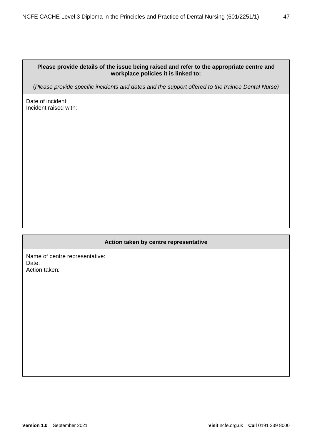#### **Please provide details of the issue being raised and refer to the appropriate centre and workplace policies it is linked to:**

(*Please provide specific incidents and dates and the support offered to the trainee Dental Nurse)*

Date of incident: Incident raised with:

#### **Action taken by centre representative**

Name of centre representative: Date: Action taken: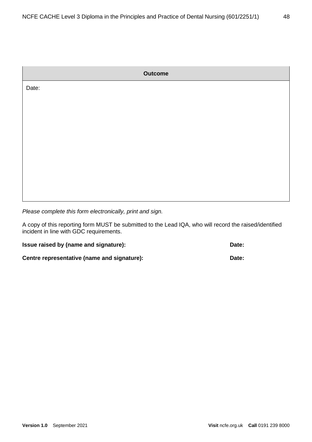|       | <b>Outcome</b> |
|-------|----------------|
| Date: |                |
|       |                |
|       |                |
|       |                |
|       |                |
|       |                |
|       |                |
|       |                |

*Please complete this form electronically, print and sign.* 

A copy of this reporting form MUST be submitted to the Lead IQA, who will record the raised/identified incident in line with GDC requirements.

| Issue raised by (name and signature):       | Date: |
|---------------------------------------------|-------|
| Centre representative (name and signature): | Date: |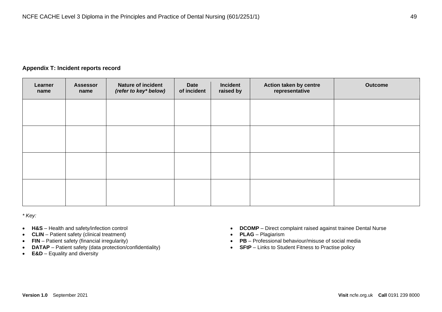#### **Appendix T: Incident reports record**

| Learner<br>name | <b>Assessor</b><br>name | <b>Nature of incident</b><br>(refer to key* below) | Date<br>of incident | <b>Incident</b><br>raised by | Action taken by centre<br>representative | <b>Outcome</b> |
|-----------------|-------------------------|----------------------------------------------------|---------------------|------------------------------|------------------------------------------|----------------|
|                 |                         |                                                    |                     |                              |                                          |                |
|                 |                         |                                                    |                     |                              |                                          |                |
|                 |                         |                                                    |                     |                              |                                          |                |
|                 |                         |                                                    |                     |                              |                                          |                |
|                 |                         |                                                    |                     |                              |                                          |                |

*\* Key:*

- **H&S** Health and safety/infection control
- **CLIN**  Patient safety (clinical treatment)
- **FIN** Patient safety (financial irregularity)
- **DATAP** Patient safety (data protection/confidentiality)
- **E&D** Equality and diversity
- **DCOMP** Direct complaint raised against trainee Dental Nurse
- **PLAG** Plagiarism
- **PB** Professional behaviour/misuse of social media
- **SFtP** Links to Student Fitness to Practise policy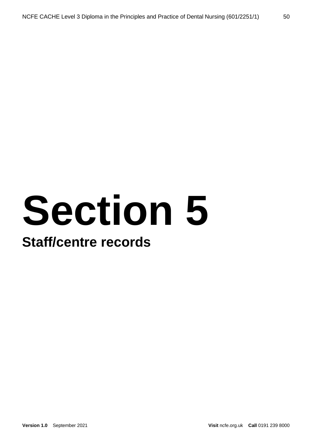# **Section 5**

### **Staff/centre records**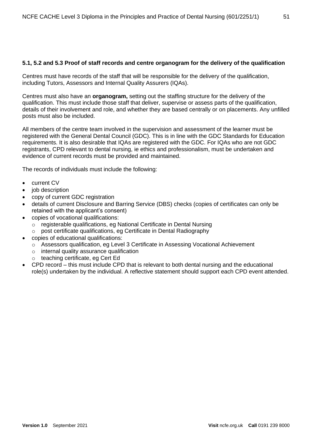#### **5.1, 5.2 and 5.3 Proof of staff records and centre organogram for the delivery of the qualification**

Centres must have records of the staff that will be responsible for the delivery of the qualification, including Tutors, Assessors and Internal Quality Assurers (IQAs).

Centres must also have an **organogram,** setting out the staffing structure for the delivery of the qualification. This must include those staff that deliver, supervise or assess parts of the qualification, details of their involvement and role, and whether they are based centrally or on placements. Any unfilled posts must also be included.

All members of the centre team involved in the supervision and assessment of the learner must be registered with the General Dental Council (GDC). This is in line with the GDC Standards for Education requirements. It is also desirable that IQAs are registered with the GDC. For IQAs who are not GDC registrants, CPD relevant to dental nursing, ie ethics and professionalism, must be undertaken and evidence of current records must be provided and maintained.

The records of individuals must include the following:

- current CV
- job description
- copy of current GDC registration
- details of current Disclosure and Barring Service (DBS) checks (copies of certificates can only be retained with the applicant's consent)
- copies of vocational qualifications:
	- o registerable qualifications, eg National Certificate in Dental Nursing
	- o post certificate qualifications, eg Certificate in Dental Radiography
- copies of educational qualifications:
	- o Assessors qualification, eg Level 3 Certificate in Assessing Vocational Achievement
	- o internal quality assurance qualification
	- o teaching certificate, eg Cert Ed
- CPD record this must include CPD that is relevant to both dental nursing and the educational role(s) undertaken by the individual. A reflective statement should support each CPD event attended.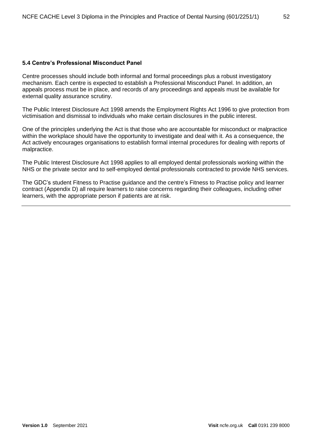#### **5.4 Centre's Professional Misconduct Panel**

Centre processes should include both informal and formal proceedings plus a robust investigatory mechanism. Each centre is expected to establish a Professional Misconduct Panel. In addition, an appeals process must be in place, and records of any proceedings and appeals must be available for external quality assurance scrutiny.

The Public Interest Disclosure Act 1998 amends the Employment Rights Act 1996 to give protection from victimisation and dismissal to individuals who make certain disclosures in the public interest.

One of the principles underlying the Act is that those who are accountable for misconduct or malpractice within the workplace should have the opportunity to investigate and deal with it. As a consequence, the Act actively encourages organisations to establish formal internal procedures for dealing with reports of malpractice.

The Public Interest Disclosure Act 1998 applies to all employed dental professionals working within the NHS or the private sector and to self-employed dental professionals contracted to provide NHS services.

The GDC's student Fitness to Practise guidance and the centre's Fitness to Practise policy and learner contract (Appendix D) all require learners to raise concerns regarding their colleagues, including other learners, with the appropriate person if patients are at risk.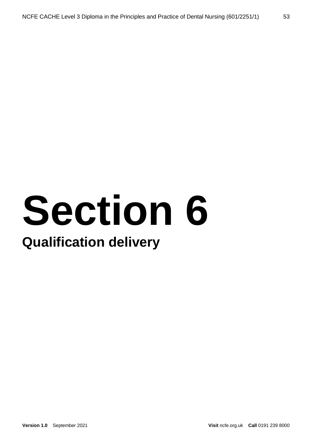# **Section 6**

### **Qualification delivery**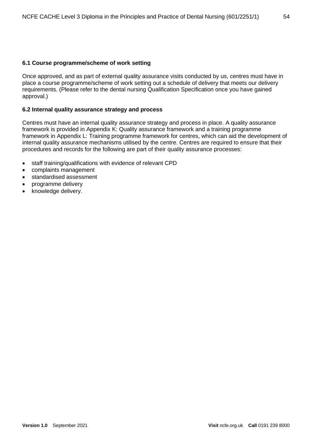#### **6.1 Course programme/scheme of work setting**

Once approved, and as part of external quality assurance visits conducted by us, centres must have in place a course programme/scheme of work setting out a schedule of delivery that meets our delivery requirements. (Please refer to the dental nursing Qualification Specification once you have gained approval.)

#### **6.2 Internal quality assurance strategy and process**

Centres must have an internal quality assurance strategy and process in place. A quality assurance framework is provided in Appendix K: Quality assurance framework and a training programme framework in Appendix L: Training programme framework for centres, which can aid the development of internal quality assurance mechanisms utilised by the centre. Centres are required to ensure that their procedures and records for the following are part of their quality assurance processes:

- staff training/qualifications with evidence of relevant CPD
- complaints management
- standardised assessment
- programme delivery
- knowledge delivery.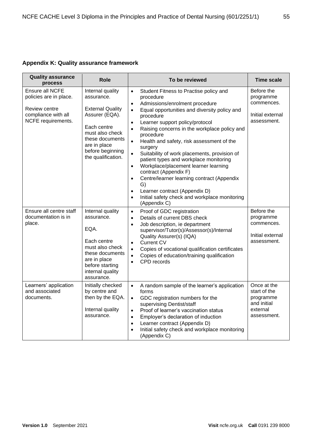#### **Appendix K: Quality assurance framework**

| <b>Quality assurance</b><br>process                                                                     | <b>Role</b>                                                                                                                                                                                | To be reviewed                                                                                                                                                                                                                                                                                                                                                                                                                                                                                                                                                                                                                                                                                                                                                             | <b>Time scale</b>                                                                  |
|---------------------------------------------------------------------------------------------------------|--------------------------------------------------------------------------------------------------------------------------------------------------------------------------------------------|----------------------------------------------------------------------------------------------------------------------------------------------------------------------------------------------------------------------------------------------------------------------------------------------------------------------------------------------------------------------------------------------------------------------------------------------------------------------------------------------------------------------------------------------------------------------------------------------------------------------------------------------------------------------------------------------------------------------------------------------------------------------------|------------------------------------------------------------------------------------|
| Ensure all NCFE<br>policies are in place.<br>Review centre<br>compliance with all<br>NCFE requirements. | Internal quality<br>assurance.<br><b>External Quality</b><br>Assurer (EQA).<br>Each centre<br>must also check<br>these documents<br>are in place<br>before beginning<br>the qualification. | Student Fitness to Practise policy and<br>$\bullet$<br>procedure<br>Admissions/enrolment procedure<br>$\bullet$<br>Equal opportunities and diversity policy and<br>$\bullet$<br>procedure<br>Learner support policy/protocol<br>$\bullet$<br>Raising concerns in the workplace policy and<br>$\bullet$<br>procedure<br>Health and safety, risk assessment of the<br>$\bullet$<br>surgery<br>Suitability of work placements, provision of<br>$\bullet$<br>patient types and workplace monitoring<br>Workplace/placement learner learning<br>$\bullet$<br>contract (Appendix F)<br>Centre/learner learning contract (Appendix<br>$\bullet$<br>G)<br>Learner contract (Appendix D)<br>$\bullet$<br>Initial safety check and workplace monitoring<br>$\bullet$<br>(Appendix C) | Before the<br>programme<br>commences.<br>Initial external<br>assessment.           |
| Ensure all centre staff<br>documentation is in<br>place.                                                | Internal quality<br>assurance.<br>EQA.<br>Each centre<br>must also check<br>these documents<br>are in place<br>before starting<br>internal quality<br>assurance.                           | Proof of GDC registration<br>$\bullet$<br>Details of current DBS check<br>$\bullet$<br>Job description, ie department<br>$\bullet$<br>supervisor/Tutor(s)/Assessor(s)/Internal<br>Quality Assurer(s) (IQA)<br><b>Current CV</b><br>$\bullet$<br>Copies of vocational qualification certificates<br>$\bullet$<br>Copies of education/training qualification<br>$\bullet$<br>CPD records<br>$\bullet$                                                                                                                                                                                                                                                                                                                                                                        | Before the<br>programme<br>commences.<br>Initial external<br>assessment.           |
| Learners' application<br>and associated<br>documents.                                                   | Initially checked<br>by centre and<br>then by the EQA.<br>Internal quality<br>assurance.                                                                                                   | A random sample of the learner's application<br>$\bullet$<br>forms<br>GDC registration numbers for the<br>$\bullet$<br>supervising Dentist/staff<br>Proof of learner's vaccination status<br>$\bullet$<br>Employer's declaration of induction<br>$\bullet$<br>Learner contract (Appendix D)<br>$\bullet$<br>Initial safety check and workplace monitoring<br>$\bullet$<br>(Appendix C)                                                                                                                                                                                                                                                                                                                                                                                     | Once at the<br>start of the<br>programme<br>and initial<br>external<br>assessment. |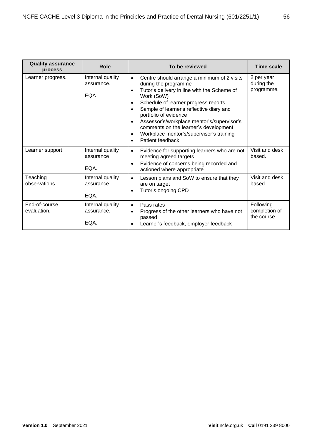| <b>Quality assurance</b><br>process | <b>Role</b>                            | To be reviewed                                                                                                                                                                                                                                                                                                                                                                                                                                                                                  | Time scale                                |
|-------------------------------------|----------------------------------------|-------------------------------------------------------------------------------------------------------------------------------------------------------------------------------------------------------------------------------------------------------------------------------------------------------------------------------------------------------------------------------------------------------------------------------------------------------------------------------------------------|-------------------------------------------|
| Learner progress.                   | Internal quality<br>assurance.<br>EQA. | Centre should arrange a minimum of 2 visits<br>$\bullet$<br>during the programme<br>Tutor's delivery in line with the Scheme of<br>$\bullet$<br>Work (SoW)<br>Schedule of learner progress reports<br>$\bullet$<br>Sample of learner's reflective diary and<br>$\bullet$<br>portfolio of evidence<br>Assessor's/workplace mentor's/supervisor's<br>$\bullet$<br>comments on the learner's development<br>Workplace mentor's/supervisor's training<br>$\bullet$<br>Patient feedback<br>$\bullet$ | 2 per year<br>during the<br>programme.    |
| Learner support.                    | Internal quality<br>assurance<br>EQA.  | Evidence for supporting learners who are not<br>$\bullet$<br>meeting agreed targets<br>Evidence of concerns being recorded and<br>$\bullet$<br>actioned where appropriate                                                                                                                                                                                                                                                                                                                       | Visit and desk<br>based.                  |
| Teaching<br>observations.           | Internal quality<br>assurance.<br>EQA. | Lesson plans and SoW to ensure that they<br>$\bullet$<br>are on target<br>Tutor's ongoing CPD<br>$\bullet$                                                                                                                                                                                                                                                                                                                                                                                      | Visit and desk<br>based.                  |
| End-of-course<br>evaluation.        | Internal quality<br>assurance.<br>EQA. | Pass rates<br>$\bullet$<br>Progress of the other learners who have not<br>$\bullet$<br>passed<br>Learner's feedback, employer feedback<br>$\bullet$                                                                                                                                                                                                                                                                                                                                             | Following<br>completion of<br>the course. |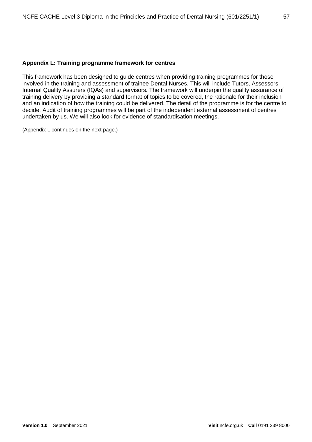#### **Appendix L: Training programme framework for centres**

This framework has been designed to guide centres when providing training programmes for those involved in the training and assessment of trainee Dental Nurses. This will include Tutors, Assessors, Internal Quality Assurers (IQAs) and supervisors. The framework will underpin the quality assurance of training delivery by providing a standard format of topics to be covered, the rationale for their inclusion and an indication of how the training could be delivered. The detail of the programme is for the centre to decide. Audit of training programmes will be part of the independent external assessment of centres undertaken by us. We will also look for evidence of standardisation meetings.

(Appendix L continues on the next page.)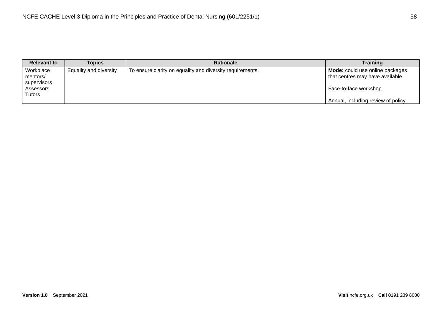| <b>Relevant to</b>                                          | Topics                 | <b>Rationale</b>                                          | <b>Training</b>                                                                                                                      |
|-------------------------------------------------------------|------------------------|-----------------------------------------------------------|--------------------------------------------------------------------------------------------------------------------------------------|
| Workplace<br>mentors/<br>supervisors<br>Assessors<br>Tutors | Equality and diversity | To ensure clarity on equality and diversity requirements. | Mode: could use online packages<br>that centres may have available.<br>Face-to-face workshop.<br>Annual, including review of policy. |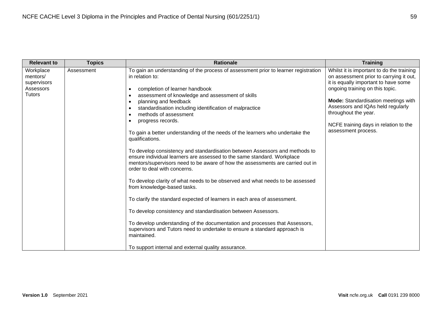| <b>Relevant to</b>                                                 | <b>Topics</b> | <b>Rationale</b>                                                                                                                                                                                                                                                                                                                                                                                                                                                                                                                                                                                                                                                                                                                                                                                                                                                                                                                                                                                                                                                                                                                                                                                                   | <b>Training</b>                                                                                                                                                                                                                                                                                                                            |
|--------------------------------------------------------------------|---------------|--------------------------------------------------------------------------------------------------------------------------------------------------------------------------------------------------------------------------------------------------------------------------------------------------------------------------------------------------------------------------------------------------------------------------------------------------------------------------------------------------------------------------------------------------------------------------------------------------------------------------------------------------------------------------------------------------------------------------------------------------------------------------------------------------------------------------------------------------------------------------------------------------------------------------------------------------------------------------------------------------------------------------------------------------------------------------------------------------------------------------------------------------------------------------------------------------------------------|--------------------------------------------------------------------------------------------------------------------------------------------------------------------------------------------------------------------------------------------------------------------------------------------------------------------------------------------|
| Workplace<br>mentors/<br>supervisors<br>Assessors<br><b>Tutors</b> | Assessment    | To gain an understanding of the process of assessment prior to learner registration<br>in relation to:<br>completion of learner handbook<br>assessment of knowledge and assessment of skills<br>planning and feedback<br>٠<br>standardisation including identification of malpractice<br>methods of assessment<br>progress records.<br>To gain a better understanding of the needs of the learners who undertake the<br>qualifications.<br>To develop consistency and standardisation between Assessors and methods to<br>ensure individual learners are assessed to the same standard. Workplace<br>mentors/supervisors need to be aware of how the assessments are carried out in<br>order to deal with concerns.<br>To develop clarity of what needs to be observed and what needs to be assessed<br>from knowledge-based tasks.<br>To clarify the standard expected of learners in each area of assessment.<br>To develop consistency and standardisation between Assessors.<br>To develop understanding of the documentation and processes that Assessors,<br>supervisors and Tutors need to undertake to ensure a standard approach is<br>maintained.<br>To support internal and external quality assurance. | Whilst it is important to do the training<br>on assessment prior to carrying it out,<br>it is equally important to have some<br>ongoing training on this topic.<br><b>Mode:</b> Standardisation meetings with<br>Assessors and IQAs held regularly<br>throughout the year.<br>NCFE training days in relation to the<br>assessment process. |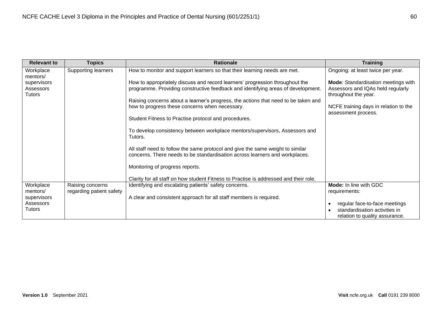| <b>Relevant to</b>                        | <b>Topics</b>                                | <b>Rationale</b>                                                                                                                                                 | <b>Training</b>                                                                                  |
|-------------------------------------------|----------------------------------------------|------------------------------------------------------------------------------------------------------------------------------------------------------------------|--------------------------------------------------------------------------------------------------|
| Workplace<br>mentors/                     | <b>Supporting learners</b>                   | How to monitor and support learners so that their learning needs are met.                                                                                        | Ongoing: at least twice per year.                                                                |
| supervisors<br>Assessors<br><b>Tutors</b> |                                              | How to appropriately discuss and record learners' progression throughout the<br>programme. Providing constructive feedback and identifying areas of development. | Mode: Standardisation meetings with<br>Assessors and IQAs held regularly<br>throughout the year. |
|                                           |                                              | Raising concerns about a learner's progress, the actions that need to be taken and<br>how to progress these concerns when necessary.                             | NCFE training days in relation to the<br>assessment process.                                     |
|                                           |                                              | Student Fitness to Practise protocol and procedures.                                                                                                             |                                                                                                  |
|                                           |                                              | To develop consistency between workplace mentors/supervisors, Assessors and<br>Tutors.                                                                           |                                                                                                  |
|                                           |                                              | All staff need to follow the same protocol and give the same weight to similar<br>concerns. There needs to be standardisation across learners and workplaces.    |                                                                                                  |
|                                           |                                              | Monitoring of progress reports.                                                                                                                                  |                                                                                                  |
|                                           |                                              | Clarity for all staff on how student Fitness to Practise is addressed and their role.                                                                            |                                                                                                  |
| Workplace<br>mentors/                     | Raising concerns<br>regarding patient safety | Identifying and escalating patients' safety concerns.                                                                                                            | Mode: In line with GDC<br>requirements:                                                          |
| supervisors                               |                                              | A clear and consistent approach for all staff members is required.                                                                                               |                                                                                                  |
| Assessors                                 |                                              |                                                                                                                                                                  | regular face-to-face meetings                                                                    |
| <b>Tutors</b>                             |                                              |                                                                                                                                                                  | standardisation activities in<br>relation to quality assurance.                                  |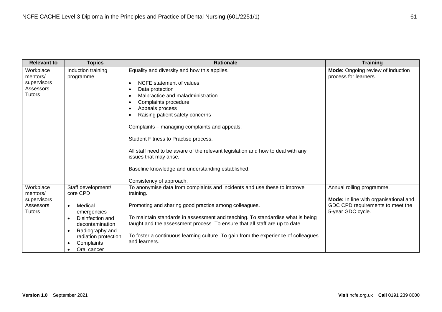| <b>Relevant to</b>                                                 | <b>Topics</b>                                                                                                                                                                                     | <b>Rationale</b>                                                                                                                                                                                                                                                                                                                                                                                                       | <b>Training</b>                                                                                                             |
|--------------------------------------------------------------------|---------------------------------------------------------------------------------------------------------------------------------------------------------------------------------------------------|------------------------------------------------------------------------------------------------------------------------------------------------------------------------------------------------------------------------------------------------------------------------------------------------------------------------------------------------------------------------------------------------------------------------|-----------------------------------------------------------------------------------------------------------------------------|
| Workplace<br>mentors/<br>supervisors<br>Assessors<br><b>Tutors</b> | Induction training<br>programme                                                                                                                                                                   | Equality and diversity and how this applies.<br>NCFE statement of values<br>$\bullet$<br>Data protection<br>$\bullet$<br>Malpractice and maladministration<br>$\bullet$<br>Complaints procedure<br>$\bullet$<br>Appeals process<br>$\bullet$<br>Raising patient safety concerns<br>٠<br>Complaints – managing complaints and appeals.<br>Student Fitness to Practise process.                                          | Mode: Ongoing review of induction<br>process for learners.                                                                  |
|                                                                    |                                                                                                                                                                                                   | All staff need to be aware of the relevant legislation and how to deal with any<br>issues that may arise.<br>Baseline knowledge and understanding established.<br>Consistency of approach.                                                                                                                                                                                                                             |                                                                                                                             |
| Workplace<br>mentors/<br>supervisors<br>Assessors<br><b>Tutors</b> | Staff development/<br>core CPD<br>Medical<br>$\bullet$<br>emergencies<br>Disinfection and<br>decontamination<br>Radiography and<br>$\bullet$<br>radiation protection<br>Complaints<br>Oral cancer | To anonymise data from complaints and incidents and use these to improve<br>training.<br>Promoting and sharing good practice among colleagues.<br>To maintain standards in assessment and teaching. To standardise what is being<br>taught and the assessment process. To ensure that all staff are up to date.<br>To foster a continuous learning culture. To gain from the experience of colleagues<br>and learners. | Annual rolling programme.<br>Mode: In line with organisational and<br>GDC CPD requirements to meet the<br>5-year GDC cycle. |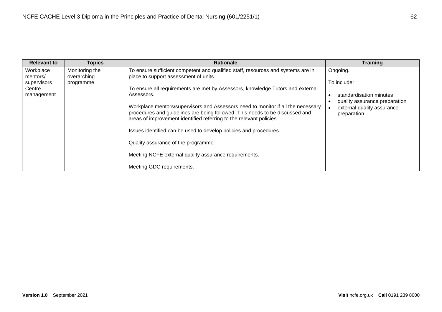| <b>Relevant to</b>                                           | <b>Topics</b>                              | <b>Rationale</b>                                                                                                                                                                                                                                                                                                                                                                                                                                                                                                                                                                                                                                                       | <b>Training</b>                                                                                                                   |
|--------------------------------------------------------------|--------------------------------------------|------------------------------------------------------------------------------------------------------------------------------------------------------------------------------------------------------------------------------------------------------------------------------------------------------------------------------------------------------------------------------------------------------------------------------------------------------------------------------------------------------------------------------------------------------------------------------------------------------------------------------------------------------------------------|-----------------------------------------------------------------------------------------------------------------------------------|
| Workplace<br>mentors/<br>supervisors<br>Centre<br>management | Monitoring the<br>overarching<br>programme | To ensure sufficient competent and qualified staff, resources and systems are in<br>place to support assessment of units.<br>To ensure all requirements are met by Assessors, knowledge Tutors and external<br>Assessors.<br>Workplace mentors/supervisors and Assessors need to monitor if all the necessary<br>procedures and guidelines are being followed. This needs to be discussed and<br>areas of improvement identified referring to the relevant policies.<br>Issues identified can be used to develop policies and procedures.<br>Quality assurance of the programme.<br>Meeting NCFE external quality assurance requirements.<br>Meeting GDC requirements. | Ongoing.<br>To include:<br>standardisation minutes<br>quality assurance preparation<br>external quality assurance<br>preparation. |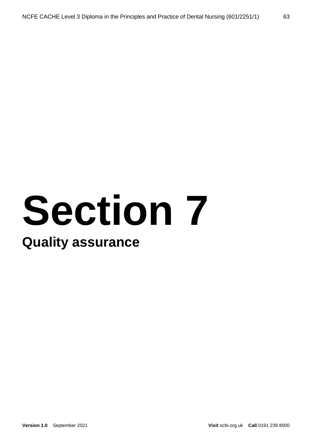## **Section 7 Quality assurance**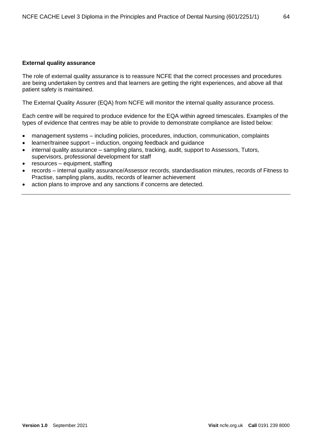#### **External quality assurance**

The role of external quality assurance is to reassure NCFE that the correct processes and procedures are being undertaken by centres and that learners are getting the right experiences, and above all that patient safety is maintained.

The External Quality Assurer (EQA) from NCFE will monitor the internal quality assurance process.

Each centre will be required to produce evidence for the EQA within agreed timescales. Examples of the types of evidence that centres may be able to provide to demonstrate compliance are listed below:

- management systems including policies, procedures, induction, communication, complaints
- learner/trainee support induction, ongoing feedback and guidance
- internal quality assurance sampling plans, tracking, audit, support to Assessors, Tutors, supervisors, professional development for staff
- resources equipment, staffing
- records internal quality assurance/Assessor records, standardisation minutes, records of Fitness to Practise, sampling plans, audits, records of learner achievement
- action plans to improve and any sanctions if concerns are detected.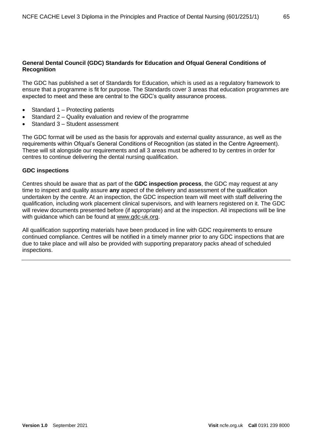#### **General Dental Council (GDC) Standards for Education and Ofqual General Conditions of Recognition**

The GDC has published a set of Standards for Education, which is used as a regulatory framework to ensure that a programme is fit for purpose. The Standards cover 3 areas that education programmes are expected to meet and these are central to the GDC's quality assurance process.

- Standard 1 Protecting patients
- Standard 2 Quality evaluation and review of the programme
- Standard 3 Student assessment

The GDC format will be used as the basis for approvals and external quality assurance, as well as the requirements within Ofqual's General Conditions of Recognition (as stated in the Centre Agreement). These will sit alongside our requirements and all 3 areas must be adhered to by centres in order for centres to continue delivering the dental nursing qualification.

#### **GDC inspections**

Centres should be aware that as part of the **GDC inspection process**, the GDC may request at any time to inspect and quality assure **any** aspect of the delivery and assessment of the qualification undertaken by the centre. At an inspection, the GDC inspection team will meet with staff delivering the qualification, including work placement clinical supervisors, and with learners registered on it. The GDC will review documents presented before (if appropriate) and at the inspection. All inspections will be line with guidance which can be found at [www.gdc-uk.org.](http://www.gdc-uk.org/)

All qualification supporting materials have been produced in line with GDC requirements to ensure continued compliance. Centres will be notified in a timely manner prior to any GDC inspections that are due to take place and will also be provided with supporting preparatory packs ahead of scheduled inspections.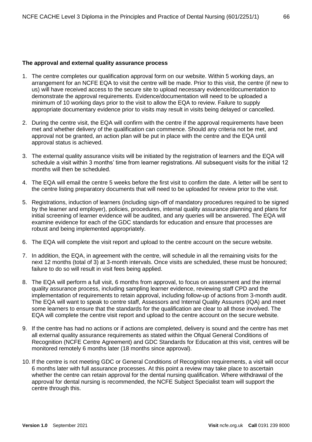#### **The approval and external quality assurance process**

- 1. The centre completes our qualification approval form on our website. Within 5 working days, an arrangement for an NCFE EQA to visit the centre will be made. Prior to this visit, the centre (if new to us) will have received access to the secure site to upload necessary evidence/documentation to demonstrate the approval requirements. Evidence/documentation will need to be uploaded a minimum of 10 working days prior to the visit to allow the EQA to review. Failure to supply appropriate documentary evidence prior to visits may result in visits being delayed or cancelled.
- 2. During the centre visit, the EQA will confirm with the centre if the approval requirements have been met and whether delivery of the qualification can commence. Should any criteria not be met, and approval not be granted, an action plan will be put in place with the centre and the EQA until approval status is achieved.
- 3. The external quality assurance visits will be initiated by the registration of learners and the EQA will schedule a visit within 3 months' time from learner registrations. All subsequent visits for the initial 12 months will then be scheduled.
- 4. The EQA will email the centre 5 weeks before the first visit to confirm the date. A letter will be sent to the centre listing preparatory documents that will need to be uploaded for review prior to the visit.
- 5. Registrations, induction of learners (including sign-off of mandatory procedures required to be signed by the learner and employer), policies, procedures, internal quality assurance planning and plans for initial screening of learner evidence will be audited, and any queries will be answered. The EQA will examine evidence for each of the GDC standards for education and ensure that processes are robust and being implemented appropriately.
- 6. The EQA will complete the visit report and upload to the centre account on the secure website.
- 7. In addition, the EQA, in agreement with the centre, will schedule in all the remaining visits for the next 12 months (total of 3) at 3-month intervals. Once visits are scheduled, these must be honoured; failure to do so will result in visit fees being applied.
- 8. The EQA will perform a full visit, 6 months from approval, to focus on assessment and the internal quality assurance process, including sampling learner evidence, reviewing staff CPD and the implementation of requirements to retain approval, including follow-up of actions from 3-month audit. The EQA will want to speak to centre staff, Assessors and Internal Quality Assurers (IQA) and meet some learners to ensure that the standards for the qualification are clear to all those involved. The EQA will complete the centre visit report and upload to the centre account on the secure website.
- 9. If the centre has had no actions or if actions are completed, delivery is sound and the centre has met all external quality assurance requirements as stated within the Ofqual General Conditions of Recognition (NCFE Centre Agreement) and GDC Standards for Education at this visit, centres will be monitored remotely 6 months later (18 months since approval).
- 10. If the centre is not meeting GDC or General Conditions of Recognition requirements, a visit will occur 6 months later with full assurance processes. At this point a review may take place to ascertain whether the centre can retain approval for the dental nursing qualification. Where withdrawal of the approval for dental nursing is recommended, the NCFE Subject Specialist team will support the centre through this.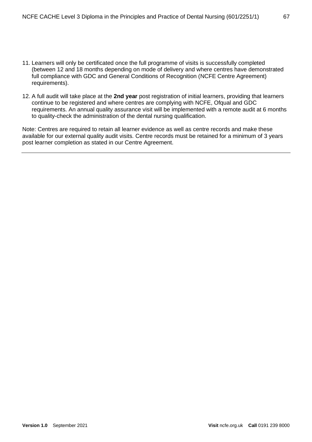- 11. Learners will only be certificated once the full programme of visits is successfully completed (between 12 and 18 months depending on mode of delivery and where centres have demonstrated full compliance with GDC and General Conditions of Recognition (NCFE Centre Agreement) requirements).
- 12. A full audit will take place at the **2nd year** post registration of initial learners, providing that learners continue to be registered and where centres are complying with NCFE, Ofqual and GDC requirements. An annual quality assurance visit will be implemented with a remote audit at 6 months to quality-check the administration of the dental nursing qualification.

Note: Centres are required to retain all learner evidence as well as centre records and make these available for our external quality audit visits. Centre records must be retained for a minimum of 3 years post learner completion as stated in our Centre Agreement.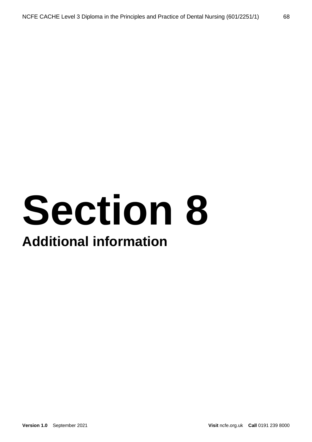## **Section 8**

## **Additional information**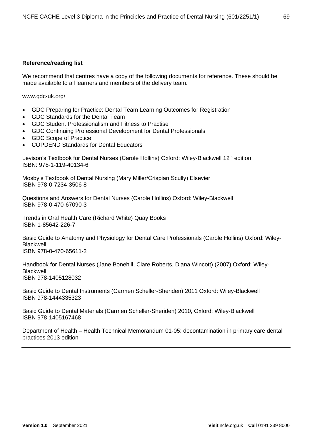#### **Reference/reading list**

We recommend that centres have a copy of the following documents for reference. These should be made available to all learners and members of the delivery team.

#### [www.gdc-uk.org/](http://www.gdc-uk.org/)

- GDC Preparing for Practice: Dental Team Learning Outcomes for Registration
- GDC Standards for the Dental Team
- GDC Student Professionalism and Fitness to Practise
- GDC Continuing Professional Development for Dental Professionals
- GDC Scope of Practice
- COPDEND Standards for Dental Educators

Levison's Textbook for Dental Nurses (Carole Hollins) Oxford: Wiley-Blackwell 12<sup>th</sup> edition ISBN: 978-1-119-40134-6

Mosby's Textbook of Dental Nursing (Mary Miller/Crispian Scully) Elsevier ISBN 978-0-7234-3506-8

Questions and Answers for Dental Nurses (Carole Hollins) Oxford: Wiley-Blackwell ISBN 978-0-470-67090-3

Trends in Oral Health Care (Richard White) Quay Books ISBN 1-85642-226-7

Basic Guide to Anatomy and Physiology for Dental Care Professionals (Carole Hollins) Oxford: Wiley-Blackwell ISBN 978-0-470-65611-2

Handbook for Dental Nurses (Jane Bonehill, Clare Roberts, Diana Wincott) (2007) Oxford: Wiley-Blackwell ISBN 978-1405128032

Basic Guide to Dental Instruments (Carmen Scheller-Sheriden) 2011 Oxford: Wiley-Blackwell ISBN 978-1444335323

Basic Guide to Dental Materials (Carmen Scheller-Sheriden) 2010, Oxford: Wiley-Blackwell ISBN 978-1405167468

Department of Health – Health Technical Memorandum 01-05: decontamination in primary care dental practices 2013 edition